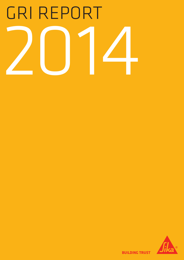# GRI Report 2014



**BUILDING TRUST**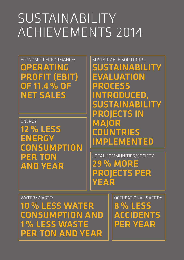# SUSTAINABILITY Achievements 2014

ECONOMIC PERFORMANCE: Operating profit (EBIT) of 11.4 % of Net Sales

Energy: 12 % less energy **CONSUMPTION** per ton and year

sustainable solutions: **SUSTAINABILITY** evaluation process introduced, sustainability projects in MAIOR **COUNTRIES** implemented

Local Communities/SocietY: 29 % more projects per **YEAR** 

WATER/WASTE: 10 % less water consumption and 1 % less waste per ton and year

Occupational Safety: 8 % less accidents per year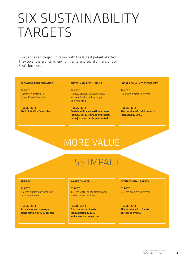# SIX SUSTAINABILITY TARGETS

Sika defines six target indicators with the largest potential effect. They cover the economic, environmental and social dimensions of Sika's business.

#### ECONOMIC PERFORMANCE

TARGET Operating profit (EBIT) above 10% of net sales.

RESULT 2014 EBIT of 11.4% of net sales.

#### SUSTAINABLE SOLUTIONS

**TARGET** All new product developments assessed, all local key projects implemented.

RESULT 2014 Sustainability evaluation process introduced, sustainability projects in major countries implemented.

#### LOCAL COMMUNITIES/SOCIETY

TARGET 5% more projects per year.

RESULT 2014 The number of social projects increased by 29%.

### MORE VALUE

# LESS IMPACT

#### ENERGY

TARGET 3% less energy consumption per ton and year.

RESULT 2014 Total decrease of energy consumption by 12% per ton.

#### WATER/WASTE

TARGET 3% less water consumption and waste per ton and year.

RESULT 2014 Total decrease of water consumption by 10% and waste by 1% per ton.

#### OCCUPATIONAL SAFETY

TARGET 5% less accidents per year.

RESULT 2014 The number of accidents decreased by 8%.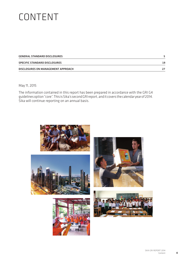# **CONTENT**

| <b>GENERAL STANDARD DISCLOSURES</b> |    |
|-------------------------------------|----|
| SPECIFIC STANDARD DISCLOSURES       | 19 |
| DISCLOSURES ON MANAGEMENT APPROACH  |    |

#### May 11, 2015

The information contained in this report has been prepared in accordance with the GRI G4 guidelines option "core". This is Sika's second GRI report, and it covers the calendar year of 2014. Sika will continue reporting on an annual basis.

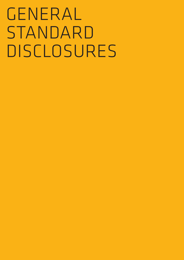# GENERAL STANDARD **DISCLOSURES**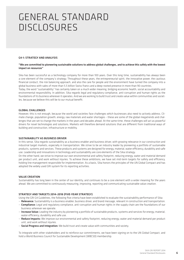### General Standard **DISCLOSURES**

#### **C4-1: STRATECY AND ANALYSIS**

#### "We are committed to pioneering sustainable solutions to address global challenges, and to achieve this safely with the lowest impact on resources"

Sika has been successful as a technology company for more than 100 years. Over this long time, sustainability has always been a core element of the company's strategy. Throughout these years, the entrepreneurial spirit, the innovative power, the cautious financial conduct, the risk balancing approach, and also the care for people and the environment have turned the company into a global business with sales of more than 5.5 billion Swiss francs and a deep-rooted presence in more than 90 countries.

Today, the word "sustainability" has certainly taken on a much wider meaning, bridging economic health, social accountability and environmental responsibility. In addition, Sika regards legal and regulatory compliance, anti-corruption and human rights as the foundations of its business wherever it operates. And we are working to build trust and create value within communities and societies, because we believe this will be to our mutual benefit.

#### GLOBAL CHALLENGES

However, this is not enough, because the world and societies face challenges which businesses also need to actively address. Climate change, population growth, energy, raw materials and water shortages – these are some of the global megatrends and challenges that are set to change the markets in the years and decades ahead. At the same time, these challenges will act as powerful drivers for novel technologies and solutions. Markets will therefore demand solutions that are different from traditional ways of building and construction, infrastructure or mobility.

#### SUSTAINABILITY AS BUSINESS DRIVER

In this sense, Sika regards sustainability as a business enabler and business driver, with growing relevance in our construction and industrial target markets, especially in transportation. We strive to be an industry leader by pioneering a portfolio of sustainable products, systems and services. These products and systems are designed for energy, material, water efficiency, durability and safe use. Leadership and innovations in technology and sustainability are core elements of the Sika strategy.

On the other hand, we strive to improve our own environmental and safety footprint, reducing energy, water and material demand per product unit, and work without injuries. To achieve these ambitions, we have set mid-term targets for safety and efficiency, holding line management responsible for implementation. As a basis, Sika honors the principles of the UN Global Compact and has adopted the widely used GRI system for its reporting activities.

#### VALUE CREATION

Sustainability has long been in the center of our identity, and continues to be a core element with a wider meaning for the years ahead. We are committed to continuously measuring, improving, reporting and communicating sustainable value creation.

#### STRATEGY AND TARGETS 2014–2018 (FIVE-YEAR STRATEGY)

Using the GRI G4 Guidelines, the following five criteria have been established to evaluate the sustainability performance of Sika:

- Relevance: Sustainability is a business enabler, business driver, and brand message, relevant in construction and transportation. - Compliance: Legal and regulatory compliance, anti-corruption and human rights in the supply chain are the foundations of our business wherever we operate.
- Increase Value: Leading the industry by pioneering a portfolio of sustainable products, systems and services for energy, material, water efficiency, durability and safe use.
- Reduce Impacts: We improve our environmental and safety footprint, reducing energy, water and material demand per product unit, and work without injuries.
- Social Progress and Integration: We build trust and create value with communities and society.

To integrate with other stakeholders and to reinforce our commitments, we have been signing on to the UN Global Compact, and hold a World Business Council for Sustainable Development (WBCSD) membership.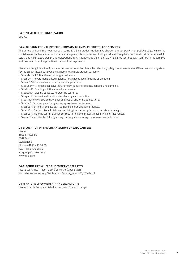#### G4-3: Name of the organization

Sika AG

#### G4-4: ORGANIZATIONAL PROFILE – PRIMARY BRANDS, PRODUCTS, AND SERVICES

The umbrella brand Sika together with some 830 Sika product trademarks sharpen the company's competitive edge. Hence the crucial role of trademark protection as a management task performed both globally, at Group level, and locally, at national level. In total, Sika held 10,500 trademark registrations in 161 countries at the end of 2014. Sika AG continuously monitors its trademarks and takes consistent legal action in cases of infringement.

Sika as a strong brand itself provides numerous brand families, all of which enjoy high brand awareness. Often they not only stand for the product itself but even give a name to a whole product category.

- Sika MaxTack®: Brand new power grab adhesive.
- Sikaflex®: Polyurethane-based sealants for a wide range of sealing applications.
- Sikasil®: Silicone sealants for all types of applications.
- Sika Boom®: Professional polyurethane-foam-range for sealing, bonding and damping.
- SikaBond®: Bonding solutions for all your needs.
- Sikalastic®: Liquid applied waterproofing systems.
- Sikagard®: Professional solutions for cleaning and protection.
- Sika AnchorFix®: Sika solutions for all types of anchoring applications.
- Sikadur®: Our strong and long lasting epoxy-based adhesives.
- Sikafloor®: Strength and beauty combined in our Sikafloor products.
- Sika® ViscoCrete®: Sika admixtures that bring innovative options to concrete mix design.
- Sikafloor®: Flooring systems which contribute to higher process reliability and effectiveness.
- Sarnafil® and Sikaplan®: Long lasting thermoplastic roofing membranes and solutions.

#### G4-5: LOCATION OF THE ORGANIZATION'S HEADQUARTERS

Sika AG Zugerstrasse 50 6341 Baar Switzerland Phone + 41 58 436 68 00 Fax + 41 58 436 68 50 sikagroup@ch.sika.com www.sika.com

#### G4-6: COUNTRIES WHERE THE COMPANY OPERATES

Please see Annual Report 2014 (full version), page 125ff www.sika.com/en/group/Publications/annual\_reports01/2014.html

#### G4-7: NATURE OF OWNERSHIP AND LEGAL FORM

Sika AG, Public Company, listed at the Swiss Stock Exchange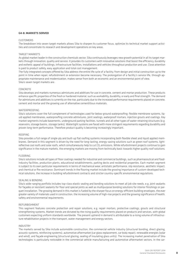#### G4-8: MARKETS SERVED

#### **CUSTOMERS**

The breakdown into seven target markets allows Sika to sharpen its customer focus, optimize its technical market support activities and concentrate its research and development operations on key areas.

#### TARGET MARKETS

As global market leader in the construction chemicals sector, Sika continuously leverages new growth potential in all its target markets through innovation, quality and service. It provides its customers with innovative solutions that boost the efficiency, durability and esthetic appeal of buildings, infrastructure facilities, installations and vehicles throughout production and use. Close attention is paid to product safety, easy application and total cost management.

The fully integrated concepts offered by Sika address the entire life cycle of a facility, from design and initial construction up to the point in time when repair, refurbishment or extension become necessary. The prolongation of a facility's service life, through appropriate maintenance and modernization, makes sense from both an economic and an environmental point of view. Sika's seven target markets are:

#### CONCRETE

Sika develops and markets numerous admixtures and additives for use in concrete, cement and mortar production. These products enhance specific properties of the fresh or hardened material, such as workability, durability, or early and final strength. The demand for admixtures and additives is currently on the rise, particularly due to the increased performance requirements placed on concrete, cement and mortar and the growing use of alternative cementitious materials.

#### WATERPROOFING

Sika's solutions cover the full complement of technologies used for below-ground waterproofing: flexible membrane systems, liquid applied membranes, waterproofing concrete admixtures, joint sealings, waterproof mortars, injection grouts and coatings. Key market segments include basements, underground parking facilities, tunnels and all other types of water-retaining structures (e.g. reservoirs, storage basins, storage tanks). Watertight systems are faced with more stringent requirements regarding durability and proven long-term performance. Therefore product quality is becoming increasingly important.

#### ROOFING

Sika provides a full range of single-ply and built-up flat roofing systems incorporating both flexible sheet and liquid applied membranes. Demand in this segment is driven by the need for long-lasting, energy-saving solutions such as green roof systems, lightreflective cool roofs and solar roofs, which simultaneously help to cut  $CO<sub>2</sub>$  emissions. While refurbishment projects continue to gain significance in the mature markets, the emerging markets are moving from technically basic towards higher quality roof solutions.

#### FLOORING

Sika's solutions include all types of floor coatings needed for industrial and commercial buildings, such as pharmaceutical and foodindustry facilities, production plants, educational establishments, parking decks and residential properties. Each market segment is subject to its own particular requirements in terms of mechanical wear, antistatic performance, slip resistance, aesthetic impact, and chemical or fire resistance. Dominant trends in the flooring market include the growing importance of custom-developed technical solutions, the increase in building refurbishment contracts and stricter country-specific environmental regulations.

#### SEALING & BONDING

Sika's wide-ranging portfolio includes top-class elastic sealing and bonding solutions to meet all job site needs, e.g. joint sealants for façades or resistant sealants for floor and special joints as well as multipurpose bonding solutions for interior finishings or parquet installation. The growing demand in this market is fueled by the sharper focus on energy-efficient building envelopes, the ever greater variety of materials used in construction, the increasing volume of high-rise projects and the growing significance of health, safety and environmental requirements.

#### REFURBISHMENT

This segment features concrete protection and repair solutions, e.g. repair mortars, protective coatings, grouts and structural strengthening systems. Market trends are dictated by the rising quality requirements placed on products and services, with global customers expecting uniform standards worldwide. The present uptrend in demand is attributable to a rising volume of infrastructure rehabilitation projects in the transport, water management and energy sectors.

#### INDUSTRY

The markets served by Sika include automobile construction, the commercial vehicle industry (structural bonding, direct glazing, acoustic systems, reinforcing systems), automotive aftermarket (car glass replacement, car body repair), renewable energies (solar and wind), and façade engineering (structural glazing, sealing of insulating glass units). The increasing market penetration of Sika technologies is particularly noticeable in the commercial vehicle manufacturing and automotive aftermarket sectors. In the car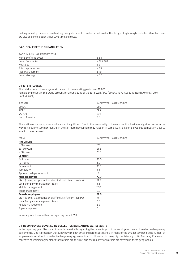making industry there is a constantly growing demand for products that enable the design of lightweight vehicles. Manufacturers are also seeking solutions that save time and costs.

#### G4-9: SCALE OF THE ORGANIZATION

#### Page in annual report 2014

| Number of employees  | n. 54       |
|----------------------|-------------|
| Group Companies      | $p.125-128$ |
| Net sales            | p. 3        |
| Total capitalization | p. 79       |
| Risk Management      | p. 19       |
| Group strategy       | p. 30       |

#### G4-10: EMPLOYEES

The total number of employees at the end of the reporting period was 16,895.

Female employees in the Group account for around 22% of the total workforce (EMEA and APAC: 22%, North America: 20%, LATAM: 26%).

| <b>REGION</b> | % OF TOTAL WORKFORCE |
|---------------|----------------------|
| <b>EMEA</b>   | 51.6                 |
| <b>APAC</b>   | 24.2                 |
| LATAM         | 15.4                 |
| North America | 8.8                  |

The portion of self-employed workers is not significant. Due to the seasonality of the construction business slight increases in the workforce during summer months in the Northern hemisphere may happen in some years. Sika employed 925 temporary labor to adapt to peak demand.

| <b>ITEM</b>                                                    | % OF TOTAL WORKFORCE |
|----------------------------------------------------------------|----------------------|
| <b>Age Groups</b>                                              |                      |
| < 30 years                                                     | 17.3                 |
| $30-50$ years                                                  | 61.8                 |
| $> 50$ years                                                   | 20.9                 |
| Contract                                                       |                      |
| Full time                                                      | 96.0                 |
| Part time                                                      | 4.0                  |
| Permanent                                                      | 95.5                 |
| Temporary                                                      | 3.3                  |
| Apprenticeship / Internship                                    | 1.2                  |
| Male employees                                                 | 77.7                 |
| Staff (clerks, lab, production staff incl. shift team leaders) | 61.6                 |
| Local Company management team                                  | 3.2                  |
| Middle management                                              | 12.0                 |
| Top management                                                 | 0.9                  |
| <b>Female employees</b>                                        | 22.3                 |
| Staff (clerks, lab, production staff incl. shift team leaders) | 19.1                 |
| Local Company management team                                  | 0.6                  |
| Middle management                                              | 2.5                  |
| Top management                                                 | 0.1                  |

Internal promotions within the reporting period: 155

#### G4-11: EMPLOYEES COVERED BY COLLECTIVE BARGAINING AGREEMENTS

In the reporting year, Sika did not have data available regarding the percentage of total employees covered by collective bargaining agreements. Sika is present in 90 countries with both small and large subsidiaries. In many of the smaller companies the number of employees is small and no collective bargaining agreements exist. However, in many big countries e.g. USA, Germany, France etc., collective bargaining agreements for workers are the rule, and the majority of workers are covered in these geographies.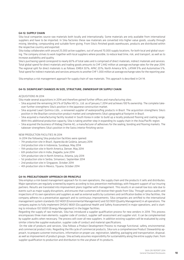#### G4-12: SUPPLY CHAIN

Sika local companies source raw materials both locally and internationally. Some materials are only available from international suppliers and have to be imported. In Sika factories these raw materials are converted into higher value goods, usually through mixing, blending, compounding and suitable form-giving. From Sika's finished goods warehouses, products are distributed within the respective country and exported.

Sika today collaborates with around 25,000 active suppliers, out of around 70,000 supply locations, for both local and global sourcing. The company strives to work together with local suppliers where possible, to reduce lead time, risk, and transport, as well as to increase availability and quality.

Sika's purchasing spend correspond to nearly 60% of total sales and is comprised of direct materials, indirect materials and services. Total global spend for direct materials and trading goods amounts to CHF 2,442 million at average exchange rates for the year 2014. The regional split for direct materials is as follows: EMEA 50%; APAC 20%; North America 16%, LATAM 9% and Automotive 5%. Total spend for indirect materials and services amounts to another CHF 1,000 million at average exchange rates for the reporting year.

Sika employs a risk management approach for supply chain of raw materials. This approach is described in G4-14.

#### G4-13: SIGNIFICANT CHANGES IN SIZE, STRUCTURE, OWNERSHIP OR SUPPLY CHAIN

#### Acquisitions in 2014

Sika made several acquisitions in 2014 and therefore gained further offices and manufacturing sites:

- Sika acquired the remaining 24.5% of Dyflex HD Co., Ltd. as of January 7, 2014 and achieves 100% ownership. The complete takeover further strengthens Sika's position in the Japanese construction market.
- Sika acquired Lwart Química Ltds., a renowned supplier of waterproofing products in Brazil. The acquisition strengthens Sika's position in the Brazilian construction product market and complements Sika's geographical footprint in Brazil.
- Sika acquired a manufacturing facility located in South Korea in order to build up a locally produced flooring and coating range. With this additional production capacity, Sika is taking another step in expanding its supply chain in the Asia/Pacific region.
- Sika acquired the business of Klebag Chemie AG, a manufacturer of adhesives for the sealing, bonding and flooring markets. The takeover strengthens Sika's position in the Swiss interior finishing sector.

#### New production facilities in 2014

In 2014 the following Sika production facilities were opened:

- 7th production site in Brazil, Aparecida de Goiânia, January 2014
- 2nd production site in Indonesia, Surabaya, May 2014
- 11th production site in North America, Denver, May 2014
- 6th production site in India, Jhagadia, June 2014
- 12th production site in North America, Atlanta, July 2014
- 1st production site in Serbia, Simanovci, September 2014
- 2nd production site in Singapore, October 2014
- 4th production site in Mexico, Tijuana, October 2014

#### G4-14: PRECAUTIONARY APPROACH OR PRINCIPLE

Sika employs a risk-based management approach for its own operations, the supply chain and the products it sells and distributes. Major operations are regularly screened by experts according to loss prevention methodology, with frequent support of our insuring partners. Results are translated into improvement plans together with management. This results in an overall low loss rate due to events such as major supply disruptions, and ensures that customers will receive their goods from Sika. Through various audits and inspections of its own operations and suppliers as well as external audits by customers and certification bodies in Sika facilities, the company adheres to a preventative approach and to continuous improvements. Sika companies are certified to the international management system standards ISO 14001 (Environmental Management) and ISO 9001 (Quality Management) in all operations. The company aspires to fully implement OHSAS 18001 (Occupational Health and Safety Assessment) in major operations, and is starting to introduce ISO 50001 (Energy Management) in the bigger facilities.

Regarding the supply of raw materials, Sika has introduced a supplier qualification process for new vendors in 2014. This process encompasses three main elements: supplier code of conduct, supplier self-assessment and supplier visit. It can be complemented by supplier audits when necessary. The process will cover all new suppliers. In addition existing suppliers will be evaluated by using similar criteria like supplier evaluation, supplier code of conduct and material specifications.

On the side of products and services, Sika follows a Product Development Process to manage functional, safety, environmental, and commercial product risks. Regarding the life cycle of commercial products, Sika runs a comprehensive Product Stewardship approach, to prepare customer instructions, information on proper use, registration, labelling, packaging and transportation, disposal, as well as improvement of product groups. Sika actively assumes responsibility for sustainability along the entire supply chain, from supplier qualification to production and distribution to the use phase of its products.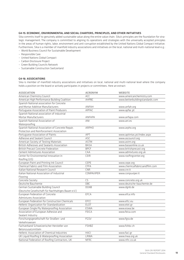#### G4-15: ECONOMIC, ENVIRONMENTAL AND SOCIAL CHARTERS, PRINCIPLES, AND OTHER INITIATIVES

Sika commits itself to genuinely added sustainable value along the entire value chain. Sika's principles are the foundation for strategic management. The company is committed to aligning its operations and strategies with the universally accepted principles in the areas of human rights, labor, environment and anti-corruption established by the United Nations Global Compact Initiative. Furthermore, Sika is a member of manifold industry associations and initiatives on the local, national and multi-national level e.g.:

- World Business Council for Sustainable Development
- Responsible Care
- United Nations Global Compact
- Carbon Disclosure Project
- Green Building Councils Network
- Sustainable Construction Switzerland

#### G4-16: ASSOCIATIONS

Sika is member of manifold industry associations and initiatives on local, national and multi-national level where the company holds a position on the board or actively participates in projects or committees. Here an extract:

| <b>ASSOCIATION</b>                                  | <b>ACRONYM</b>    | <b>WEBSITE</b>                  |
|-----------------------------------------------------|-------------------|---------------------------------|
| American Chemistry Council                          | ACC               | www.americanchemistry.com       |
| American High Performance Building Coalition        | <b>AHPBC</b>      | www.betterbuildingstandards.com |
| Spanish National association for Concrete           |                   |                                 |
| and Mortar Additive Manufacturers                   | ANFAH             | www.anfah.org                   |
| Portuguese Association of Paint Producers           | <b>APFAC</b>      | www.apfac.pt                    |
| Spanish National association of industrial          |                   |                                 |
| Mortar Manufacturers                                | <b>ANFAPA</b>     | www.anfapa.com                  |
| Spanish National Association of                     | ANI               | www.ani.es                      |
| Waterproofing                                       |                   |                                 |
| Spanish National Association of Concrete Repair,    | <b>ARPHO</b>      | www.arpho.org                   |
| Protection and Reinforcement Association            |                   |                                 |
| Portuguese Association of Paints                    | APT               | www.aptintas.pt/Index.aspx      |
| Adhesive and Sealant Council                        | <b>ASC</b>        | www.ascouncil.org               |
| American Society of Testing Materials               | <b>ASTM</b>       | www.astm.org                    |
| British Adhesives and Sealants Association          | <b>BASA</b>       | www.basaonline.co.uk            |
| <b>British Precast Concrete Federation</b>          | <b>BPCF</b>       | www.britishprecast.org          |
| Cement Admixtures Association                       | CAA               | www.admixtures.org.uk           |
| Center for Environmental Innovation in              | <b>CEIR</b>       | www.roofingcenter.org           |
| Roofing (US)                                        |                   |                                 |
| European Paint and Printing Ink Council             | <b>CEPE</b>       | www.cepe.org                    |
| Chemical Fabrics and Film Association               | <b>CFFA</b>       | www.chemicalfabricsandfilm.com  |
| Italian National Research Council                   | <b>CNR</b>        | www.cnr.it                      |
| Italian National Association of Industrial          | <b>CONPAVIPER</b> | www.conpuviper.it               |
| Flooring                                            |                   |                                 |
| Concrete Society                                    | CS                | www.concrete.org.uk             |
| Deutsche Bauchemie                                  | $\overline{DBC}$  | www.deutsche-bauchemie.de       |
| German Sustainable Building Council                 | <b>DGNB</b>       | www.dgnb.de                     |
| (Deutsche Gesellschaft für Nachhaltiges Bauen e.V.) |                   |                                 |
| European Federation of Concrete                     | EFCA              | www.efca.info                   |
| Admixtures Association                              |                   |                                 |
| European Federation for Construction Chemicals      | EFCC              | www.efcc.eu                     |
| Hellenic Organization for Standardization           | <b>ELOT</b>       | www.elot.gr                     |
| European Single Ply Waterproofing Association       | <b>ESWA</b>       | www.eswa.be                     |
| Association of European Adhesive and                | <b>FEICA</b>      | www.feica.com                   |
| Sealant Industry                                    |                   |                                 |
| Forschungsgesellschaft für Straßen- und             | <b>FGSV</b>       | www.fgsv.de                     |
| Verkehrswesen                                       |                   |                                 |
| Fachverband Schweizerischer Hersteller von          | <b>FSHBZ</b>      | www.fshbz.ch                    |
| Betonzusatzmitteln                                  |                   |                                 |
| Hellenic Association of Chemical Industries         | <b>HACI</b>       | www.faci.gr                     |
| UK Liquid Roofing & Waterproofing Association       | LRWA              | www.lrwa.org.uk                 |
| National Federation of Roofing Contractors, UK      | <b>NFRC</b>       | www.nfrc.co.uk                  |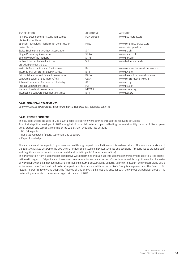| <b>ASSOCIATION</b>                           | <b>ACRONYM</b>           | <b>WEBSITE</b>                   |
|----------------------------------------------|--------------------------|----------------------------------|
| Polyurea Development Association Europe      | PDA Europe               | www.pda-europe.org               |
| (Italian Committee)                          |                          |                                  |
| Spanish Technology Platform for Construction | <b>PTEC</b>              | www.construccion2030.org         |
| Swiss Plastics                               | $\overline{\phantom{0}}$ | www.swiss-plastics.ch            |
| Swiss Engineer and Architect Association     | <b>SIA</b>               | www.sia.ch                       |
| Single Ply roofing Association               | <b>SPRA</b>              | www.spra.co.uk                   |
| Single Ply Roofing Industry                  | <b>SPRI</b>              | www.spri.org                     |
| Verband der deutschen Lack- und              | VdL                      | www.lackindustrie.de             |
| Druckfarbenindustrie e.V.                    |                          |                                  |
| Institute Construction and Environment       | <b>IBU</b>               | www.construction-environment.com |
| International Concrete Repair Institute      | <b>ICRI</b>              | www.icri.org                     |
| British Adhesives and Sealants Association   | <b>BASA</b>              | www.basaonline.co.uk/home.aspx   |
| Concrete Society of Southern Africa          | <b>CSSA</b>              | www.concretesociety.co.za        |
| Athens Chamber of Commerce & Industry        | <b>ACCI</b>              | www.acci.gr                      |
| Precast Concrete Institute                   | PCI                      | www.pci.org                      |
| National Ready Mix Association               | <b>NRMCA</b>             | www.nrmca.org                    |
| Interlocking Concrete Pavement Institute     | <b>ICPI</b>              | www.icpi.org                     |

#### G4-17: FINANCIAL STATEMENTS

See www.sika.com/en/group/investors/FinancialReportsandMediaReleases.html

#### G4-18: REPORT CONTENT

The key topics to be included in Sika's sustainability reporting were defined through the following activities:

As a first step Sika developed in 2013 a long list of potential material topics, reflecting the sustainability impacts of Sika's operations, product and services along the entire value chain, by taking into account:

- GRI G4 aspects
- Desk-top research of peers, customers and suppliers
- Expert knowledge

The boundaries of the aspects/topics were defined through expert consultation and internal workshops. The relative importance of the topics was rated according the two criteria "influence on stakeholder assessments and decisions" (importance to stakeholders) and "significance of economic, environmental and social impacts" (importance to Sika).

The prioritization from a stakeholder perspective was determined through specific stakeholder engagement activities. The prioritization with regard to "significance of economic, environmental and social impacts" was determined through the results of a series of workshops with Sika management and internal and external sustainability experts, taking into account the impacts along Sika's entire value chain. The identified material aspects and topics were validated with Sika's Group Management and the Board of Directors. In order to review and adapt the findings of this analysis, Sika regularly engages with the various stakeholder groups. The materiality analysis is to be reviewed again at the end of 2015.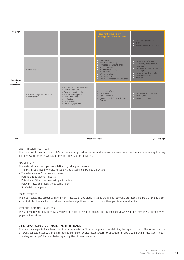

#### SUSTAINABILITY CONTEXT

The sustainability context in which Sika operates at global as well as local level were taken into account when determining the long list of relevant topics as well as during the prioritization activities.

#### MATERIALITY

The materiality of the topics was defined by taking into account:

- The main sustainability topics raised by Sika's stakeholders (see G4-24-27)
- The relevance for Sika's core business
- Potential reputational impacts
- Potential of Sika to influence/impact the topic
- Relevant laws and regulations, Compliance
- Sika's risk management

#### COMPLETENESS

The report takes into account all significant impacts of Sika along its value chain. The reporting processes ensure that the data collected includes the results from all entities where significant impacts occur with regard to material topics.

#### STAKEHOLDER INCLUSIVENESS

The stakeholder inclusiveness was implemented by taking into account the stakeholder views resulting from the stakeholder engagement activities.

#### G4-19/20/21: ASPECTS OF MATERIAL IMPORTANCE

The following aspects have been identified as material for Sika in the process for defining the report content. The impacts of the different aspects occur within Sika's operations along or also downstream or upstream in Sika's value chain. Also See "Report boundary and scope" for boundaries regarding the different aspects.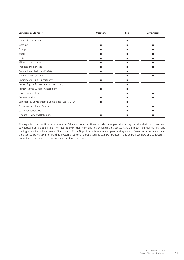| <b>Corresponding GRI Aspects</b>                   | Upstream | Sika | <b>Downstream</b> |
|----------------------------------------------------|----------|------|-------------------|
| Economic Performance                               |          | П    |                   |
| Materials                                          | ■        | П    | п                 |
| Energy                                             | п        | П    | п                 |
| Water                                              | ■        | П    | п                 |
| Emissions                                          | ■        | ш    | ш                 |
| <b>Effluents and Waste</b>                         |          | ш    | ▬                 |
| Products and Services                              | ■        | п    | п                 |
| Occupational Health and Safety                     | п        | п    |                   |
| Training and Education                             |          | П    | п                 |
| Diversity and Equal Opportunity                    | п        | П    |                   |
| Human Rights Assessment (own entities)             |          | П    |                   |
| Human Rights Supplier Assessment                   | п        | П    |                   |
| Local Communities                                  |          | п    | п                 |
| Anti-Corruption                                    | ■        | П    | п                 |
| Compliance / Environmental Compliance (Legal, EHS) | п        | п    |                   |
| Customer Health and Safety                         |          | п    | п                 |
| <b>Customer Satisfaction</b>                       |          | п    | ▬                 |
| Product Quality and Reliability                    | ■        | п    | ▬                 |

The aspects to be identified as material for Sika also impact entities outside the organization along its value chain, upstream and downstream on a global scale. The most relevant upstream entities on which the aspects have an impact are raw material and trading product suppliers (except Diversity and Equal Opportunity: temporary employment agencies). Dowstream the value chain, the aspects are material for building-systems customer groups such as owners, architects, designers, specifiers and contractors, cement and concrete customers and automotive customers.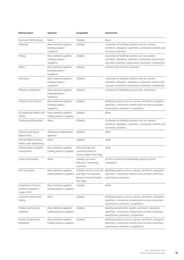| <b>Material aspect</b>                                     | Upstream                                                  | Geographies                                                       | Downstream                                                                                                                                                             |
|------------------------------------------------------------|-----------------------------------------------------------|-------------------------------------------------------------------|------------------------------------------------------------------------------------------------------------------------------------------------------------------------|
| Economic Performance                                       | None                                                      | Globally                                                          | None                                                                                                                                                                   |
| Materials                                                  | Raw material suppliers,<br>(trading product<br>suppliers) | Globally                                                          | Customers of building systems such as: owners,<br>architects, designers, specifiers, contractors cement and<br>concrete customers                                      |
| Energy                                                     | Raw material suppliers,<br>(trading product<br>suppliers) | Globally                                                          | Customers of building systems such as: owners,<br>architects, designers, specifiers, contractors cement and<br>concrete customers, automotive customers, competitors   |
| Water                                                      | Raw material suppliers,<br>(trading product<br>suppliers) | Globally                                                          | Cement and concrete customers                                                                                                                                          |
| Emissions                                                  | Raw material suppliers,<br>(trading product<br>suppliers) | Globally                                                          | Customers of building systems such as: owners,<br>architects, designers, specifiers, contractors cement and<br>concrete customers, automotive customers, competitors   |
| <b>Effluents and Waste</b>                                 | Raw material suppliers,<br>(trading product<br>suppliers) | Globally                                                          | Customers of Building systems like: contractors                                                                                                                        |
| <b>Products and Services</b>                               | Raw material suppliers,<br>(trading product<br>suppliers) | Globally                                                          | Building systems such as: owners, architects, designers,<br>specifiers, contractors cement and concrete customers,<br>automotive customers, competitors                |
| Occupational Health and<br>Safety                          | Raw material suppliers,<br>trading product suppliers      | Globally                                                          | None                                                                                                                                                                   |
| Training and Education                                     | None                                                      | Globally                                                          | Customers of building systems such as: owners,<br>architects, designers, specifiers, contractors cement and<br>concrete customers                                      |
| Diversity and Equal<br>Opportunity                         | Temporary employment<br>agencies                          | Globally                                                          | None                                                                                                                                                                   |
| Human Rights Assess-<br>ments (own operations)             | None                                                      | Globally                                                          | None                                                                                                                                                                   |
| Human Rights Supplier<br>Assessment                        | Raw material suppliers,<br>trading product suppliers      | Risk and high risk<br>countries based on<br>Human Rights Risk Map | None                                                                                                                                                                   |
| Local Communities                                          | None                                                      | Globally, but more<br>relevant in emerging<br>countries           | All non-commercial stakeholder groups of local<br>companies                                                                                                            |
| Anti Corruption                                            | Raw material suppliers,<br>trading product suppliers      | and high risk countries<br>based on Human Rights<br>Risk Map      | Globally, but focus on risk Building systems such as: owners, architects, designers,<br>specifiers, contractors cement and concrete customers,<br>automotive customers |
| Compliance / Environ-<br>mental Compliance<br>(Legal, EHS) | Raw material suppliers,<br>trading product suppliers      | Globally                                                          | None                                                                                                                                                                   |
| Customer Health and<br>Safety                              | None                                                      | Globally                                                          | Building systems such as: owners, architects, designers,<br>specifiers, contractors cement and concrete customers,<br>automotive customers, competitors                |
| Product and Service<br>Labelling                           | Raw material suppliers,<br>trading product suppliers      | Globally                                                          | Building systems like: owners, architects, designers,<br>specifiers, contractors cement and concrete customers,<br>automotive customers, competitors                   |
| Product Quality and<br>Reliability                         | Raw material suppliers,<br>trading product suppliers      | Globally                                                          | Building systems such as: owners, architects, designers,<br>specifiers, contractors cement and concrete customers,<br>automotive customers, competitors                |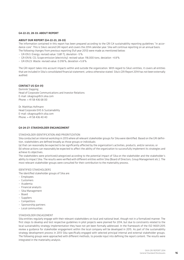#### G4-22-23, 28-33: About report

#### ABOUT OUR REPORT (G4-22-23, 28-33)

The information contained in this report has been prepared according to the GRI G4 sustainability reporting guidelines "in accordance-core". This is Sika's second GRI report and covers the 2014 calendar year. Sika will continue reporting on an annual basis. The following changes from previous reporting (full year 2013) were made as mentioned below:

- GR-EN 3: Energy: revised value: 1,681 TJ, deviation –5%
- GR-EN 16: CO2 Scope emission (electricity): revised value: 118,000 tons, deviation –4.8%
- GR-EN 23: Waste: revised value: 0.018%, deviation +5.8%

The GRI report takes into account impacts within and outside the organization. With regard to Sika's entities, it covers all entities that are included in Sika's consolidated financial statement, unless otherwise stated. Sika's GRI Report 2014 has not been externally audited.

#### CONTACT US (G4-31)

Dominik Slappnig Head of Corporate Communications and Investor Relations E-mail: sikagroup@ch.sika.com Phone: + 41 58 436 68 00

Dr. Matthias Hofmann Head Corporate EHS & Sustainability E-mail: sikagroup@ch.sika.com Phone: + 41 58 436 40 40

#### G4-24-27: STAKEHOLDER ENGANGEMENT

#### STAKEHOLDER IDENTIFICATION AND PRIORITIZATION

Sika conducted an internal workshop in 2013 where all relevant stakeholder groups for Sika were identified. Based on the GRI definition, stakeholders are defined broadly as those groups or individuals:

(a) that can reasonably be expected to be significantly affected by the organization's activities, products, and/or services; or

(b) whose actions can reasonably be expected to affect the ability of the organization to successfully implement its strategies and achieve its objectives.

The stakeholders were prioritized/categorized according to the potential impact of Sika on the stakeholder and the stakeholder's ability to impact Sika. The results were verified with different entities within Sika (Board of Directors, Group Management etc.). The most relevant stakeholder groups were consulted for their contribution to the materiality process.

#### IDENTIFIED STAKEHOLDERS

The identified stakeholder groups of Sika are:

- Employees
- Customers
- Academia
- Financial analysts
- Sika Management
- Board
- Suppliers
- Competitors
- Sponsorship partners
- Local communities

#### STAKEHOLDER ENGAGEMENT

Sika entities regularly engage with their relevant stakeholders on local and national level, though not in a formalized manner. The first steps to develop and test respective guidelines in pilot projects were planned for 2014, but due to constraints related to the local sustainability strategy implementation they have not yet been formally addressed. In the framework of the ISO 14001:2015 review a guidance for stakeholder engagement within the local company will be developed in 2015. As part of the sustainability strategy development process in 2013 Sika specifically engaged with selected principal internal and external stakeholder groups. The following groups were approached with different methods, to provide input into defining the report content. The results were integrated in the materiality analysis.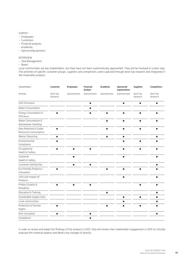#### SURVEY

- Employees
- Customers
- Financial analysts
- Academia
- Sponsorship partners

#### INTERVIEW

- Sika Management
- Board

Local communities are key stakeholders, but they have not been systematically approached. They will be involved in a later step. The priorities of specific customer groups, suppliers and competitors, were captured through desk-top research and integrated in the materiality analysis.

| <b>Stakeholders</b>                             | <b>Customer</b>      | <b>Employees</b> | Financial<br>Analyst | Academia       | Sponsored<br>organisations | <b>Suppliers</b>     | <b>Competitors</b>   |
|-------------------------------------------------|----------------------|------------------|----------------------|----------------|----------------------------|----------------------|----------------------|
| Activity                                        | Desk Top<br>Research | Questionnaire    | Questionnaire        | Questionnaire  | Questionnaire              | Desk Top<br>Research | Desk Top<br>Research |
| <b>GHG Emissions</b>                            |                      |                  | п                    |                | ٠                          | $\blacksquare$       | п                    |
| Water Consumption                               |                      |                  | п                    |                |                            |                      |                      |
| Energy Consumption &<br>Efficiency              | п                    |                  | ٠                    | п              | ٠                          | п                    | п                    |
| Water Consumption &<br>Wastewater Handling      |                      |                  |                      | п              | п                          | п                    | п                    |
| Raw Materials & Global<br>Ressource Consumption | п                    |                  |                      | $\blacksquare$ | ٠                          | п                    | п                    |
| Waste / Recycling                               | п                    |                  |                      | п              | ٠                          |                      | п                    |
| Environmental<br>Compliance                     | ٠                    |                  |                      |                | ٠                          | п                    |                      |
| Occupational<br>Health & Safety                 | п                    | п                | ٠                    |                | ٠                          | п                    | п                    |
| Customer<br>Health & Safety                     |                      | $\blacksquare$   |                      |                | п                          |                      | П                    |
| <b>Customer Satisfaction</b>                    |                      | п                | п                    |                |                            |                      | $\blacksquare$       |
| Eco-friendly Products /<br>Innovation           | ٠                    |                  |                      | п              | ٠                          | п                    | п                    |
| Life Cycle Impact of<br>Products                |                      |                  |                      |                | п                          |                      | п                    |
| Product Quality &<br>Reliability                | п                    | $\blacksquare$   | п                    |                |                            | $\blacksquare$       | п                    |
| <b>Education &amp; Training</b>                 |                      |                  |                      | п              |                            |                      | п                    |
| Sustainable Supply Chain                        |                      |                  |                      |                | п                          | п                    | п                    |
| Local communities                               |                      |                  |                      |                | п                          |                      | п                    |
| Protection of Human<br>Rights                   | п                    |                  |                      | п              | П                          | п                    | п                    |
| Anti-corruption                                 | П                    |                  | $\blacksquare$       |                |                            |                      | п                    |
| Compliance                                      |                      |                  | п                    |                |                            |                      |                      |

In order to review and adapt the findings of the analysis in 2013, Sika will review their stakeholder engagement in 2015 to critically evaluate the material aspects and detect any changes of priority.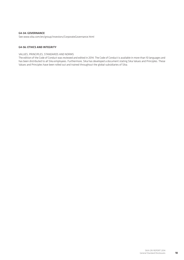#### G4-34: GOVERNANCE

See www.sika.com/en/group/investors/CorporateGovernance.html

#### G4-56: ETHICS AND INTEGRITY

#### Values, principles, standards and norms

The edition of the Code of Conduct was reviewed and edited in 2014. The Code of Conduct is available in more than 10 languages and has been distributed to all Sika employees. Furthermore, Sika has developed a document stating Sika Values and Principles. These Values and Principles have been rolled out and trained throughout the global subsidiaries of Sika.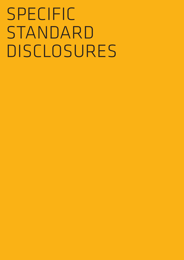# Specific STANDARD Disclosures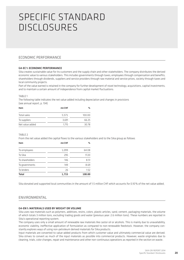## Specific Standard Disclosures

#### Economic performance

#### G4-EC 1: Economic performance

Sika creates sustainable value for its customers and the supply chain and other stakeholders. The company distributes the derived economic value to various stakeholders. This includes governments through taxes, employees through compensation and benefits, shareholders through dividends, suppliers and service providers through raw material and service prices, society through taxes and local community projects.

Part of the value earned is retained in the company for further development of novel technology, acquisitions, capital investments, and to maintain a certain amount of independence from capital market fluctuations.

#### TABLE 1

The following table indicates the net value added including depreciation and changes in provisions (see annual report, p. 134)

| Item            | mn CHF | %      |
|-----------------|--------|--------|
| Total sales     | 5.571  | 100.00 |
| To suppliers    | 3.691  | 66.25  |
| Net value added | 1.715  | 30.78  |

 $T \triangle B$  $F$  2

From the net value added the capital flows to the various stakeholders and to the Sika group as follows

| Item            | mn CHF | $\%$   |
|-----------------|--------|--------|
| To employees    | 1,099  | 64.08  |
| To Sika         | 295    | 17.20  |
| To shareholders | 146    | 8.51   |
| To governments  | 149    | 8.69   |
| To lenders      | 26     | 1.52   |
| <b>Total</b>    | 1,715  | 100.00 |

Sika donated and supported local communities in the amount of 1.5 million CHF which accounts for 0.10% of the net value added.

#### ENVIRONMENTAL

#### G4-EN 1: MATERIALS USED BY WEIGHT OR VOLUME

Sika uses raw materials such as polymers, additives, resins, colors, plastic articles, sand, cement, packaging materials, the volume of which totals 3 million tons, excluding trading goods and water (previous year: 2.6 million tons). These numbers are reported in Sika's operational reporting system.

The company uses only a small amount of renewable raw materials like castor oil or alcohols. This is mainly due to unavailability, economic viability, ineffective application of formulation as compared to non-renewable feedstock. However, the company constantly explores ways of using non-petroleum derived materials for Sika products.

Input materials are converted to value-added products from which customer value and ultimately commercial value are derived. Sika strives to convert as much of the input materials as possible into commercial products. However, waste originates due to cleaning, trials, color changes, repair and maintenance and other non-continuous operations as reported in the section on waste.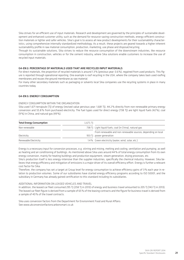Sika strives for an efficient use of input materials. Research and development are governed by the principles of sustainable development and enhanced customer utility, such as the demand for resource-saving construction methods, energy-efficient construction materials or lighter and safer vehicles. Sika's goal is to assess all new product developments for their sustainability characteristics, using comprehensive internally standardized methodology. As a result, these projects are geared towards a higher inherent sustainability profile in raw material consumption, production, marketing, use phase and disposal/recycling.

Through its sustainable solutions, Sika strives to reduce the resource consumption of the downstream industries, like resource consumption in construction, vehicles or for the cement industry, where Sika solutions enable customers to increase the use of recycled input materials.

#### G4-EN 2: PERCENTAGE OF MATERIALS USED THAT ARE RECYCLED INPUT MATERIALS

For direct materials, the proportion of recycled materials is around 1.3% (previous year: 0.6%), regained from used products. This figure is reported through operational reporting. One example is roof recycling in the USA, where the company takes back used roofing membranes and reuses the ground membrane as raw material.

For many other secondary materials such as packaging or solvents local Sika companies use the recycling systems in place in many countries today.

#### G4-EN 3: ENERGY CONSUMPTION

#### ENERGY CONSUMPTION WITHIN THE ORGANIZATION

Sika used 1,671 terrajoule (TJ) of energy (revised value pervious year: 1,681 TJ), 44.2% directly from non-renewable primary energy conversion and 55.8% from purchased electricity. The fuel types used for direct energy (738 TJ) are light liquid fuels (42%), coal (9%) in China, and natural gas (49%).

| <b>Total Energy Consumption</b> | 1.671 TI |                                                              |
|---------------------------------|----------|--------------------------------------------------------------|
| Non-renewable                   |          | 738 TJ Light liquid fuels, coal (in China), natural gas      |
|                                 |          | From renewable and non-renewable sources, depending on local |
| Electricity                     |          | 933 TJ power generation                                      |
| Renewable Electricity           |          | 1.4% Green electricity (water, wind, solar, etc.)            |

Energy is a necessary input for conversion processes, e.g. stirring and mixing, melting and cooling, ventilation and pumping, as well as heating and air conditioning of buildings. As mentioned above Sika uses around 44% of total energy consumption from its own energy conversion, mainly for heating buildings and production equipment, steam generation, drying processes, etc.

Sika's production itself is less energy-intensive than the supplier industries, specifically the chemical industry. However, Sika believes that energy efficiency and mitigation of emissions is a major driver of its overall efficiency effort. Energy is further a relevant cost factor for Sika.

Therefore, the company has set a target at Group level for energy consumption to achieve efficiency gains of 3% each year in relation to production volumes. Some of our subsidiaries have started energy efficiency programs according to ISO 50001, and the subsidiary in Germany has already gained certification to this standard including its subsidiaries.

#### ADDITIONAL INFORMATION ON LEASED VEHICLES AND TRAVEL

In addition, the leased car fleet consumed 295 TJ (258 TJ in 2013) of energy and business travel amounted to 205 TJ (143 TJ in 2013). The leased car fleet figure is derived from a sample of 65% of the leasing contracts and the figure for business travel is derived from a sample of 40% of the travel contracts.

Sika uses conversion factors from the Department for Environment Food and Rural Affairs: See www.ukconversionfactorscarbonsmart.co.uk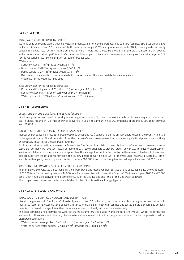#### G4-EN 8: Water

#### Total water withdrawal by source

Water is used as cooling water, cleaning water, in products, and for general purposes like sanitary facilities. Sika uses around 2.79 million m<sup>3</sup> (previous year: 2.75 million m<sup>3</sup>) both from public supply (52%) and groundwater wells (48%). Cooling water is mainly derived in line with local permits from ground water wells in water-rich areas, like Switzerland, the UK, and Eastern USA. Cooling and process water makes up 63% of Sika's water use. The company strives to increase water efficiency and has set a target of 3% for the reduction of water consumption per ton of product sold. Water sources:

- Surface water:  $37 T m<sup>3</sup>$  (previous year: 22 T m<sup>3</sup>)
- Ground water: 1,328 T  $m<sup>3</sup>$  (previous year: 1,349 T  $m<sup>3</sup>$ )
- Public supply: 1,427 T  $m^3$  (previous year: 1,379 T  $m^3$ )
- Rain water: Only a few factories have started to use rain water. There are no detailed data available.
- Waste water: No waste water is used

Sika uses water for the following purposes:

- Process and Cooling water: 1.75 million  $m^3$  (previous year: 1.8 million  $m^3$ )
- Sanitary water: 0.34 million  $m^3$  (previous year: 0.41 million  $m^3$ )
- Water in products: 0.69 million  $m^3$  (previous year: 0.67 million  $m^3$ )

#### G4-EN 15-16: EMISSIONS

#### Direct greenhouse gas (GHG) emissions (Scope 1)

Direct energy conversion results in local greenhouse gas emissions (CO<sub>2</sub>). Sika uses various fuels for its own energy conversion, incl. coal in China. Around 44% of the energy is converted in Sika sites amounting to CO<sub>2</sub> emissions of around 47,000 tons (previous year: 50,000 tons).

#### Indirect greenhouse gas (GHG) emissions (Scope 2)

Indirect energy conversion results in greenhouse gas emissions (CO<sub>2</sub>) depending on the primary energy used in the country's electric power generation mix. Therefore, a shift from the company's own power generation to purchasing electrical power may positively or negatively impact Sika's total carbon footprint.

To obtain an informed estimate we use the Greenhouse Gas Protocol calculator to quantify the scope 2 emissions. However, in some cases, e.g. Germany, we have contractual agreements with power suppliers to procure "green" power, e.g. from hydro-electrical conversion, which has a much lower carbon footprint than the average footprint in the country. In these cases Sika deducts the renewable amount from the total consumption in the country, before converting into CO<sub>2</sub>. For the year under review, calculated CO<sub>2</sub> emissions from third party power supply amounted to around 102,000 tons for the Group (revised value previous year: 118,000 tons).

#### Additional information on leased vehicles and travel

The company also evaluates the carbon emissions from travel and leased vehicles. Extrapolations of available data show a footprint of 20,500 tons for the leasing fleet and 14,000 tons for business travel for the entire Group in 2014 (previous year: 17,400 and 17,500 tons). Both figures are derived from a sample of 65% of the Sika leasing and 40% of the Sika travel contracts. The company uses conversion factors as published by the IEA, International Energy Agency.

#### G4-EN 22-23: EFFLUENTS AND WASTE

#### Total water discharge by quality and destination

Sika discharges around 1.7 million  $m^3$  of water (previous year: 2.2 million  $m^3$ ), in conformity with local legislation and permits. In most Sika factories, process water is collected in tanks, or cleaned in treatment facilities and tested before discharge as per local permits; it is then discharged into either the sewage system or directly into a surface water body.

The local companies hold permits for water discharge parameters, like quantity and chemical limit values, which the companies are bound to. However, due to the very diverse nature of requirements, the Sika Group does not report on discharge water quality. Discharge destination:

- Water to sewer, sewage plant: 0.48 million  $m^3$  (previous year: 0.42 million  $m^3$ )
- Water to surface water bodies: 1.22 million  $m^3$  (previous year: 1.8 million  $m^3$ )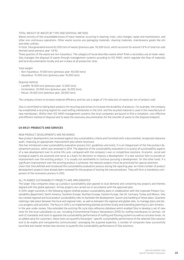#### Total weight of waste by type and disposal method

Waste consists of the unavoidable losses of input material, occurring in cleaning, trials, color changes, repair and maintenance, and other non-continuous operations. Other waste sources are packaging materials, cleaning materials, maintenance goods like oils and other utilities.

In total, Sika generated around 62,000 tons of waste (previous year: 56,000 tons), which accounts for around 1.8% of total ton sold (revised value previous year: 1.8%).

Three quarters of the waste are non-hazardous. The category of reuse describes waste which finds a secondary use at lower value. Sika manages the disposal of waste through management systems according to ISO 14001, which regulate the flow of materials and local documentation locally and are in place at all production sites.

Total weight:

- Non-hazardous: 47,000 tons (previous year: 40,000 tons)
- Hazardous: 15,000 tons (previous year: 16,000 tons)

Disposal method:

- Landfill: 18,000 tons (previous year: 12,000 tons)
- Incineration: 20,000 tons (previous year: 16,000 tons)
- Reuse: 24,000 tons (previous year: 28,000 tons)

The company strives to increase material efficiency and has set a target of 3% reduction of waste per ton of product sold.

Sika is committed to taking back products for recycling and strives to increase the durability of products. For example, the company has established a recycling regime for used roofing membranes in the USA, and the recycled material is used in the manufacture of new membranes. Within their ISO 14001 management systems the local companies are bound to find a compliant, cost-effective and efficient method of disposal and to keep the necessary documentation for the transfer of waste to the disposal endpoint.

#### G4-EN 27: PRODUCTS AND SERVICES

#### New product developments are reviewed

New product developments are reviewed against key sustainability criteria and furnished with a documented, recognized relevance audit, imposing an appropriate improvement plan where necessary.

Sika has introduced a new sustainability evaluation process (incl. guidelines and tools). It is an integral part of the Sika product development process, which was reviewed in 2014. The objective of the sustainability evaluation is to assess all sustainability aspects of a new development over its entire life cycle, compared with the company's own or competitive solutions. Economic, social and ecological aspects are assessed and serve as a basis for decisions to improve a development. If a new solution fails to provide an improvement over the existing product, it is usually not worthwhile to continue pursuing a development. On the other hand, if a significant improvement over the existing product is achieved, the relevant projects must be prioritized for special attention.

Given that Sika defined and introduced the sustainability evaluation process during the reporting year, an initial number of product development projects have already been reviewed for the purpose of testing the new procedures. They will form a mandatory component of the innovation process in 2015.

#### All planned sustainability projects are implemented

The larger Sika companies draw up a product sustainability plan geared to local demand and containing key projects and themes aligned with the global approach. All key projects are carried out in accordance with the approved plan.

In 2014, larger countries in the following regions drafted product sustainability plans in collaboration with the Corporate Product Sustainability department: North America, Southern Europe, Northern Europe, Eastern Europe, the UK, Germany, Turkey and Mexico. Sika has created regional and local product sustainability roles to facilitate the development, launch and handling of these plans. Quarterly meetings take place between the local and regional roles, as well as between the regional and global roles, to manage plans and discuss progress and activities. The focus in 2015 is on implementing planned activities locally and extending planning to Latin America. In the year under review, Sika extended the existing life cycle data reference database which enabled Sika to develop a set of new tools for the local subsidiaries to use, including Environmental Product Declarations (EPD) for roofing membranes to German, UK and US standards and tools to appraise the sustainability performance of roofing and flooring systems as well as concrete mixes. As an added value for customers, these tools can quantify the project -specific sustainability performance of the selected Sika solution and to be readily and transparently communicated. Leveraging the acquired expertise, a number of companies have successfully launched and market tested new services to quantify the sustainability performance of Sika solutions.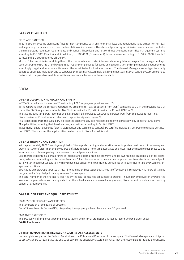#### G4-EN 29: COMPLIANCE

#### Fines and sanction

In 2014 Sika incurred no significant fines for non-compliance with environmental laws and regulations. Sika strives for full legal and regulatory compliance, which are the foundation of its business. Therefore, all producing subsidiaries have a process that helps them understand regulatory requirements and changes. These legal entities continuously entertain certified management systems according to ISO 9001 (Quality) and, in addition, to ISO 14001 (Environment), in some cases according to OHSAS 18000 (Health & Safety) and ISO 50001 (Energy efficiency).

Most of Sika's subsidiaries work together with external advisors to stay informed about regulatory changes. The management systems according to ISO 14001 and OHSAS 18001 require companies to follow up on new legislation and implement legal requirements accordingly. Legal and internal audits screen the subsidiaries for business conduct. The General Managers are obliged to strictly adhere to applicable legislation and to supervise the subsidiary accordingly. Sika implements an Internal Control System according to Swiss public company law in all its subsidiaries to ensure adherence to these standards.

#### social

#### G4-LA 6: OCCUPATIONAL HEALTH AND SAFETY

In 2014 Sika had a lost time rate of 11 accidents / 1,000 employees (previous year: 12).

In the reporting year the company reported 193 accidents (> 1 day of absence from work) compared to 217 in the previous year. Of these, the EMEA region accounted for 124, North America for 10, Latin America for 42, and APAC for 17.

The rate includes temporary labor not on Sika's payroll. Sika excludes construction project work from the accident reporting.

Sika experienced 21 contractor accidents on its premises (previous year: 12).

As accident data from the subsidiary is processed anonymously, it is not possible to give a breakdown by gender at Group level. 21 legal entities, including their headquarters, are certified according to OHSAS 18001.

In addition 21 operational units (plants, warehouses and technology centers) are certified individually according to OHSAS Certification 18001. The status of the legal entities can be found in Sika's Annual Report.

#### G4-LA 9: TRAINING AND EDUCATION

With approximately 17,000 employees globally, Sika regards training and education as an important instrument in retaining and grooming its workforce. The company is proud of a large share of long-time associates and recognizes the need to keep these valued associates up to date regarding their relevant knowledge and abilities.

Sika therefore maintains a broad range of internal and external training programs and its own training academies, e.g. for operations, sales and marketing, and technical faculties. Sika collaborates with universities to gain access to up-to-date knowledge. In 2014 we continued our cooperation with IMD business school where we trained our talents with potential to take over Senior Management positions.

Sika has no explicit Group target with regard to training and education but strives to offer every Sika employee > 10 hours of training per year, and a fully-fledged training seminar for managers.

The total number of training hours reported by the local companies amounted to around 11 hours per employee on average, the same as the year before. As training data from the subsidiaries are processed anonymously, Sika does not provide a breakdown by gender at Group level yet.

#### G4-LA 12: DIVERSITY AND EQUAL OPPORTUNITY

Composition of governance bodies The composition of the Board of Directors: Out of 9 members 1 is female (11%). Regarding the age group all members are over 50 years old.

#### Employee categories

The breakdown of employees per employee category, the internal promotion and leased labor number is given under G4-10: Employees.

#### G4-HR 9: HUMAN RIGHTS REVIEWS AND/OR IMPACT ASSESSMENTS

Human rights are part of the Code of Conduct and the Policies and Principles of the company. The General Managers are obligated to strictly adhere to legal practices and to supervise the subsidiary accordingly. Also, they are responsible for taking preventative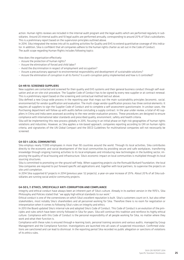action. Human rights reviews are included in the internal audit program and the legal audits which are performed regularly in subsidiaries. Around 20 internal audits and 10 legal audits are performed annually, corresponding to around 20% of Sika's subsidiaries. This is a preliminary report based on the supervision principles outlined above.

In 2014, Sika integrated the review into all its auditing activities for Quality and EHS to extend quantitative coverage of this indicator. In addition, Sika is confident that all companies adhere to the human rights charter as set out in the Code of Conduct. The audit scope regarding Human Rights includes following topics:

How does the organisation effectively:

- Assure the protection of human rights?
- Assure the elimination of forced and child labor?
- Avoid the discrimination in respect of employment and occupation?
- Assure a precautionary approach to environmental responsibility and development of sustainable solutions?
- Assure the elimination of corruption in all its forms? Is a anti-corruption policy implemented and how is it controlled?

#### G4-HR 10: SCREENED SUPPLIERS

New suppliers are contacted and screened for their quality and EHS systems and their general business conduct through self-evaluation and an on-site visit procedure. The Supplier Code of Conduct has to be signed by every new supplier or at contract renewal. This is a preliminary report based on the screening and contractual method laid out above.

Sika defined a new Group-wide process in the reporting year that maps out the main sustainability principles (economic, social, environmental) for vendor qualification and evaluation. The multi-stage vendor qualification process has three central elements: It requires all suppliers to sign the Supplier Code of Conduct and to complete a self-assessment questionnaire. In unclear cases, the Purchasing department will follow up with audits before concluding a supply contract. In the year under review, a total of 40 suppliers in China and India were assessed according to the new vendor evaluation process. These procedures are designed to ensure compliance with international labor standards and prescribed quality, environment, safety and health criteria.

Sika will be implementing this new process globally in 2015, focusing in an initial phase on high-risk geographies of human rights violations and industries. However, as Sika applies a risk-based approach, companies reporting according to GRI on human rights criteria, and signatories of the UN Global Compact and the OECD Guidelines for multinational companies will not necessarily be screened.

#### G4-SO 1: LOCAL COMMUNITIES

Sika employs nearly 17,000 employees in more than 90 countries around the world. Through its local activities, Sika contributes directly to the economic and social development of the local communities by providing secure and safe workplaces, transferring knowledge through ongoing training activities to its local employees and introducing new technologies in the building sector, improving the quality of local housing and infrastructure. Sika's economic impact on local communities is multiplied through its local sourcing structures.

Sika is committed to promoting on-the-ground self-help. When supporting projects via the Romuald Burkard Foundation, the local Sika companies are required to put forward specific aid applications and, together with local partners, to supervise the projects on site until completion.

In 2014 Sika supported 67 projects in 2014 (previous year: 52 projects), a year-on-year increase of 29%. About 20% of all Sika subsidiaries are running social and/or community projects.

#### G4-SO 5, 7: ETHICS, SPECIFICALLY ANTI-CORRUPTION AND COMPLIANCE

Integrity and ethical conduct have always been an inherent part of Sika's culture. Already in its earliest version in the 1970's, Sika Philosophy and Policies stated that "we apply high ethical standards to our work."

Ethical conduct is one of the cornerstones on which Sika's excellent reputation is built. Sika's customers count on it, but also other stakeholders, most notably Sika's shareholders and all personnel working for Sika. Therefore there is no room for negotiation or interpretation when it comes to following Sika's rules on integrity and ethics.

In 2013 the Board updated Sika's internal rule and adopted Sika's Code of Conduct. This Code of Conduct is an evolution of the principles and rules which have been strictly followed in Sika for years. Sika will continue this tradition and reinforce its highly ethical culture. Compliance with this Code of Conduct is the personal responsibility of all people working for Sika, no matter where they work and what their function is.

Compliance with these rules is ensured through e-learning tools, personal training sessions and various audits, managed by Group Management and the Compliance function. Investigations are launched into all cases of suspected misconduct. Confirmed violations are sanctioned and can lead to dismissal. In the reporting period Sika recorded no public allegation or sanctions of violations of its ethics rules.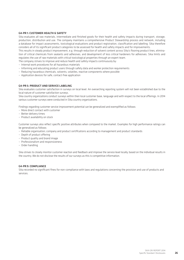#### G4-PR 1: CUSTOMER HEALTH & SAFETY

Sika evaluates all raw materials, intermediate and finished goods for their health and safety impacts during transport, storage, production, distribution and use. The company maintains a comprehensive Product Stewardship process and network, including a database for impact assessments, toxicological evaluations and product registration, classification and labelling. Sika therefore considers all of its significant product categories to be assessed for health and safety impacts and for improvements.

This results in steady product improvement, e.g. through reduction of solvent content across Sika's flooring product lines, elimination of critical chemicals from sealants and adhesives, and development of less critical hardeners for adhesives. Sika limits and regulates the use of raw materials with critical toxicological properties through an expert team.

The company strives to improve and reduce health and safety impacts continuously by:

- Internal work procedures for all hazardous materials
- Informing and educating product users through safety data and worker protection requirements
- Reducing hazardous chemicals, solvents, volatiles, reactive components where possible
- Application devices for safe, contact-free application

#### G4-PR 5: PRODUCT AND SERVICE LABELING

Sika evaluates customer satisfaction in surveys on local level. An overarching reporting system will not been established due to the local nature of customer satisfaction surveys.

Sika country organizations conduct surveys within their local customer base, language and with respect to the local offerings. In 2014 various customer surveys were conducted in Sika country organizations.

Findings regarding customer service improvement potential can be generalized and exemplified as follows:

- More direct contact with customer
- Better delivery times
- Product availability on stock

Customer surveys also reflect specific positive attributes when compared to the market. Examples for high performance ratings can be generalized as follows:

- Reliable organisation; company and product certifications according to management and product standards
- Depth of product offering
- Product quality and brand image
- Professionalism and responsiveness
- Order handling

Sika strives to closely monitor customer reaction and feedback and improve the service level locally, based on the individual results in the country. We do not disclose the results of our surveys as this is competitive information.

#### G4-PR 9: COMPLIANCE

Sika recorded no significant fines for non-compliance with laws and regulations concerning the provision and use of products and services.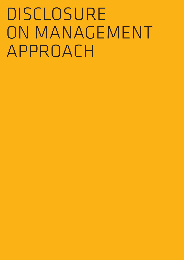# Disclosure ON MANAGEMENT Approach

- 
- -
	-
-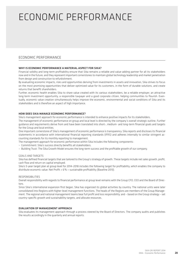#### ECONOMIC PERFORMANCE Economic Performance

#### Economic Performance

#### WHY IS ECONOMIC PERFORMANCE A MATERIAL ASPECT FOR SIKA?

Financial solidity and long-term profitability ensure that Sika remains a reliable and value-adding partner for all its stakeholders now and in the future, and they represent important cornerstones to maintain global technology leadership and market penetration from design and construction to refurbishment.

By evaluating economic impacts, risks and opportunities deriving from investments in assets and innovation, Sika strives to focus on the most promising opportunities that deliver optimized value for its customers, in the form of durable solutions, and create returns that benefit shareholders.

Further, economic health enables Sika to share value created with its various stakeholders, be a reliable employer, an attractive long-term investment opportunity, a responsible taxpayer and a good corporate citizen, helping communities to flourish. Eventually, economic value creation simultaneously helps improve the economic, environmental and social conditions of Sika and its stakeholders and is therefore an aspect of high importance.

#### HOW DOES SIKA MANAGE ECONOMIC PERFORMANCE?

Sika's management approach for economic performance is intended to enhance positive impacts for its stakeholders.

The management of economic performance on group and local level is directed by the company's overall strategic outline. Further guidance and requirements derive from and have been translated into short-, medium- and long-term financial goals and targets for the Group and local entities.

One important cornerstone of Sika's management of economic performance is transparency. Sika reports and discloses its financial statements in accordance with international financial reporting standards (IFRS) and adheres internally to similar stringent accounting standards for its monthly reporting to management.

The management approach for economic performance within Sika includes the following components:

- Commitment: Sika's success directly benefits all stakeholders.
- Building Trust: The Sika Growth Model ensures the long-term success and the profitable growth of our company.

#### GOALS AND TARGETS

Sika has defined financial targets that are tailored to the Group's strategy of growth. These targets include net sales growth, profit, cash flow and return on capital employed.

Sika's 5-year target plan at group level for 2014–2018 includes the following target for profitability, which enables the company to distribute economic value: Net Profit  $> 6\%$  = sustainable profitability (Baseline 2013).

#### RESPONSIBILITIES

Overall responsibility with regards to financial performance at group level remains with the Group CFO, CEO and the Board of Directors.

Since Sika's international expansion first began, Sika has organized its global activities by country. The national units were later consolidated into Regions with higher-level management functions. The heads of the Regions are members of the Group Management. The regional and national management teams bear full profit and loss responsibility, and – based on the Group strategy – set country-specific growth and sustainability targets, and allocate resources.

#### EVALUATION OF MANAGEMENT APPROACH

Sika evaluates its management approach through a process steered by the Board of Directors. The company audits and publishes the results accordingly in the quarterly and annual reports.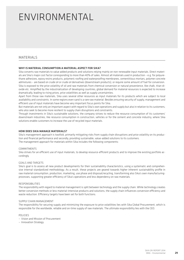#### ENVIRONMENTAL Environmental

#### **MATERIALS**

#### WHY IS MATERIAL CONSUMPTION A MATERIAL ASPECT FOR SIKA?

Sika converts raw materials to value added products and solutions relying mainly on non-renewable input materials. Direct materials are Sika's major cost factor corresponding to more than 40% of sales. Almost all materials used in production – e.g. for polyurethane adhesives, epoxy resins products, polymeric roofing and waterproofing membranes, cementitious mortars, polymer concrete admixtures – are based on crude oil or crude oil derivatives (downstream products), or require some amount of fuel for conversion. Sika is exposed to the price volatility of oil and raw materials from chemical conversion or natural provenience, like chalk, titan dioxide etc. Amplified by the industrialization of developing countries, global demand for material resources is expected to increase dramatically, leading to rising prices, price volatilities as well as supply uncertainties.

Apart from those raw materials, Sika uses several other resources as input materials for its products which are subject to local availability and constraints. In some regions even sand is a rare raw material. Besides ensuring security of supply, management and efficient use of input materials have become very important focus points for Sika.

But materials are not only an important aspect with regard to Sika's own operations and supply but also in relation to its customers, who also seek to become more resilient to supply chain disruptions and constraints.

Through investments in Sika's sustainable solutions, the company strives to reduce the resource consumption of its customers' downstream industries, like resource consumption in construction, vehicles or for the cement and concrete industry, where Sika solutions enable customers to increase the use of recycled input materials.

#### HOW DOES SIKA MANAGE MATERIALS?

Sika's management approach is twofold, primarily mitigating risks from supply chain disruptions and price volatility on its production and financial performance and secondly, providing sustainable, value-added solutions to its customers. The management approach for materials within Sika includes the following components:

#### **COMMITMENTS**

Sika strives for an efficient use of input materials, to develop resource-efficient products and to improve the existing portfolio accordingly.

#### Goals and targets

Sika's goal is to assess all new product developments for their sustainability characteristics, using a systematic and comprehensive internal standardized methodology. As a result, these projects are geared towards higher inherent sustainability profile in raw material consumption, production, marketing, use phase and disposal/recycling, transforming also Sika's own manufacturingprocesses, supporting greater efficiency of Sika's operations and less dependency on raw materials.

#### Responsibilities

The responsibility with regard to material management is split between technology and the supply chain. While technology creates better conversion methods or less material-intensive products and solutions, the supply chain influences conversion efficiency and waste reduction. Efficiency targets have been set for both functions.

#### Supply Chain Management

The responsibility for securing supply and minimizing the exposure to price volatilities lies with Sika Global Procurement, which is responsible for the worldwide, reliable and on-time supply of raw materials. The ultimate responsibility lies with the CEO.

#### Policies

- Vision and Mission of Procurement
- Innovation Strategy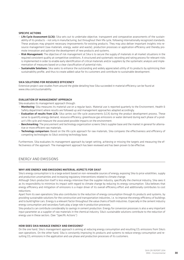#### SPECIFIC ACTIONS

- Life Cycle Assessment (LCA): Sika sets out to undertake objective, transparent and comparative assessments of the sustainability of its products – not only in manufacturing, but throughout their life cycle, following internationally recognized standards. These analyses may pinpoint necessary improvements for existing products. They may also deliver important insights into resource management (raw materials, energy, water and waste), production processes or application efficiency and thereby promote innovation and optimize the development of new products and systems.
- Risk Management: The objective of risk management at Sika is to secure the supply of materials in all market situations in the required consistent quality at competitive conditions. A structured and systematic recording and rating process for relevant risks is implemented in order to enable early identification of critical materials and/or suppliers by the systematic analysis and implementation of measures based on a clear classification of potential risks.
- Sustainable Solutions: Sika seeks to enhance the outstanding and widely appreciated utility of its products by optimizing their sustainability profile, and thus to create added value for its customers and contribute to sustainable development.

#### SIKA SOLUTIONS FOR RESOURCE EFFICIENCY

Extensive project case studies from around the globe detailing how Sika succeeded in material efficiency can be found at www.sika.com/sustainability

#### EVALUATION OF MANAGEMENT APPROACH

Sika evaluates its management approach through:

- Monitoring: Sika measures its material use on a regular basis. Material use is reported quarterly to the Environment, Health & Safety department where results are followed up and management approaches adapted accordingly.
- **Evaluation of results from LCA:** Sika carries out life-cycle assessments (LCA) during the product development process. These serve to quantify energy demand, resource efficiency, greenhouse gas emissions or water demand during each phase of a product's life cycle and measure the associated possible impacts on the environment.
- Benchmarking: The procurement and technology organization screens Sika's supplier base and the market in general for alternative or more efficient raw materials.
- Technology comparison: Based on the life cycle approach for raw materials, Sika compares the effectiveness and efficiency of competing technologies to Sika's existing technology base.

Furthermore, Sika evaluates its management approach by target setting, achieving or missing the targets and measuring the effectiveness of the approach. The management approach has been reviewed and has been proven to be effective.

#### Energy and emissions

#### WHY ARE ENERGY AND EMISSIONS MATERIAL ASPECTS FOR SIKA?

Sika's energy consumption is to a large extent based on non-renewable sources of energy, exposing Sika to price volatilities, supply and production uncertainties and increasing regulatory interventions related to climate change.

Although Sika's production itself is less energy-intensive than the supplier industry, specifically the chemical industry, Sika sees it as its responsibility to minimize its impact with regard to climate change by reducing its energy consumption. Sika believes that energy efficiency and mitigation of emissions is a major driver of its overall efficiency effort and additionally contributes to cost reductions.

Apart from its own operations Sika also contributes to the reduction of energy consumption through its products and systems, by providing sustainable solutions for the construction and transportation industries, i.e. to improve the energy efficiency of buildings and to build lighter cars. Energy is a relevant factor throughout the value chains of both industries. Especially in the cement industry energy consumption and secondary fuels play a large role in production processes.

Sika products can contribute considerably to savings in cement production. Energy for conversion processes is also a very important input parameter as a supplier of raw materials in the chemical industry. Sika's sustainable solutions contribute to the reduction of energy use in these sectors. (See "Specific Actions")

#### HOW DOES SIKA MANAGE ENERGY AND EMISSIONS?

On the one hand, Sika's management approach is aiming at reducing energy consumption and resulting CO<sub>2</sub> emissions from Sika's own operations. On the other hand, Sika is constantly improving its products and systems to reduce energy consumption and resulting  $CO<sub>2</sub>$  emissions in the application and use phase and production processes of its customers.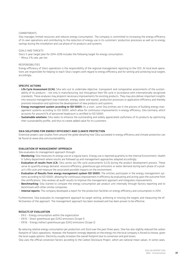#### COMMITMENTS

Sika manages limited resources and reduces energy consumption. The company is committed to increasing the energy efficiency of its own operations and contributing to the reduction of energy use in its customers' production processes as well as to energy savings during the installation and use phase of its products and systems.

#### Goals and targets

Sika's 5-year target plan for 2014–2018 includes the following target for energy consumption:

– Minus 3% rate, per ton

#### Responsibilities

Energy efficiency of Sika's operations is the responsibility of the regional management reporting to the CEO. At local level operations are responsible for helping to reach Sika's targets with regard to energy efficiency and for setting and achieving local targets accordingly.

#### SPECIFIC ACTIONS

- Life Cycle Assessment (LCA): Sika sets out to undertake objective, transparent and comparative assessments of the sustainability of its products – not only in manufacturing, but throughout their life cycle in accordance with internationally recognized standards. These analyses may pinpoint necessary improvements for existing products. They may also deliver important insights into resource management (raw materials, energy, water and waste), production processes or application efficiency and thereby promote innovation and optimize the development of new products and systems.
- **Energy management system according to ISO 50001:** As a start, some Sika entities are in the process of building energy management systems according to ISO 50001, which allow for continuous improvements in energy efficiency. Sika Germany, which accounts for around 6% of personnel headcount is certified to ISO 50001.
- Sustainable solutions: Sika seeks to enhance the outstanding and widely appreciated usefulness of its products by optimizing their sustainability profile, and thus to create added value for its customers.

#### Sika solutions for energy efficiency and climate protection

Extensive project case studies from around the globe detailing how Sika succeeded in energy efficiency and climate protection can be found at www.sika.com/sustainability

#### EVALUATION OF MANAGEMENT APPROACH

Sika evaluates its management approach through:

- Monitoring: Sika measures its energy use on a regular basis. Energy use is reported quarterly to the internal Environment, Health & Safety department where results are followed up and management approaches adapted accordingly.
- Evaluation of results from LCA: Sika carries out life-cycle assessments (LCA) during the product development process. These serve to quantify energy demand, resource efficiency, greenhouse gas emissions or water demand during each phase of a product's life cycle and measure the associated possible impacts on the environment.
- Evaluation of Results from energy management system ISO 50001: The entities participate in the energy management systems according to ISO 50001, allowing for continuous improvement in efficiency by evaluating and acting upon the outcome from the certifications. Sika reviews all audit results to improve the management approach and integrates improvements.
- Benchmarking: Sika started to compare the energy consumption per product unit internally through factory reporting and to benchmark with other similar companies.
- Internal reports: The company developed a report for the production facilities on energy efficiency and consumption in 2014.

Furthermore, Sika evaluates its management approach by target setting, achieving or missing the targets and measuring the effectiveness of the approach. The management approach has been reviewed and has been proven to be effective.

#### RESULTS OF EVALUATION

- EN 3 Energy consumption within the organization
- EN 15 Direct greenhouse gas (GHG) emissions (Scope 1)
- EN 16 Energy indirect greenhouse gas (GHG) emissions (Scope 2)

By reducing relative energy consumption per production unit (ton) over the past three years, Sika has also slightly reduced the carbon footprint of Sika's operations. However, the footprint strongly depends on the energy mix the local company is forced to choose, given the local supply options. Electricity usually increases the overall footprint due to conversion and grid losses.

Sika uses the official conversion factors according to the Carbon Disclosure Project, which are national mean values. In some cases,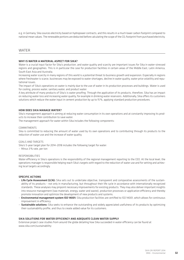e.g. in Germany, Sika sources electricity based on hydropower contracts, and this results in a much lower carbon footprint compared to national mean values. The renewable portions are deducted before calculating the scope of the CO<sub>2</sub> footprint from purchased electricity.

#### **WATER**

#### WHY IS WATER A MATERIAL ASPECT FOR SIKA?

Water is a crucial input factor for Sika's production, and water quality and scarcity are important issues for Sika in water-stressed regions and geographies. This is in particular the case for production facilities in certain areas of the Middle East, Latin America, South East Asia and Australia.

Increasing water scarcity in many regions of this world is a potential threat to business growth and expansion. Especially in regions where freshwater is scarce, businesses may be exposed to water shortages, decline in water quality, water price volatility and reputational issues.

The impact of Sika's operations on water is mainly due to the use of water in its production processes and buildings. Water is used for cooling, process water, sanitary water, and product water.

A key attribute of many products of Sika's is water proofing. Through the application of its products, therefore, Sika has an impact on reducing water loss and increasing water quality, for example in drinking water reservoirs. Additionally, Sika offers its customers solutions which reduce the water input in cement production by up to 15%, applying standard production procedures.

#### HOW DOES SIKA MANAGE WATER?

Sika's management approach is aiming at reducing water consumption in its own operations and at constantly improving its products to increase their contribution to save water.

The management approach for water within Sika includes the following components:

#### **COMMITMENTS**

Sika is committed to reducing the amount of water used by its own operations and to contributing through its products to the reduction of water use and the increase of water quality.

#### Goals and targets

Sika's 5-year target plan for 2014–2018 includes the following target for water:

– Minus 3% rate, per ton

#### Responsibilities

Water efficiency in Sika's operations is the responsibility of the regional management reporting to the CEO. At the local level, the operations manager is responsible helping reach Sika's targets with regard to the reduction of water use and for setting and achieving local targets accordingly.

#### SPECIFIC ACTIONS

- Life Cycle Assessment (LCA): Sika sets out to undertake objective, transparent and comparative assessments of the sustainability of its products – not only in manufacturing, but throughout their life cycle in accordance with internationally recognized standards. These analyses may pinpoint necessary improvements for existing products. They may also deliver important insights into resource management (raw materials, energy, water and waste), production processes or application efficiency and thereby promote innovation and optimize the development of new products and systems.
- Environmental management system ISO 14001: Sika production facilities are certified to ISO 14001, which allows for continuous improvement in efficiency.
- Sustainable solutions: Sika seeks to enhance the outstanding and widely appreciated usefulness of its products by optimizing their sustainability profile, and thus to create added value for its customers.

#### Sika solutions for water efficiency and adequate clean water supply

Extensive project case studies from around the globe detailing how Sika succeeded in water efficiency can be found at www.sika.com/sustainability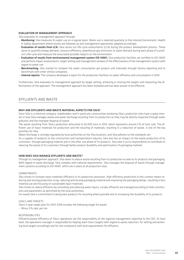#### EVALUATION OF MANAGEMENT APPROACH

Sika evaluates its management approach through:

- Monitoring: Sika measures its water use on a regular basis. Water use is reported quarterly to the internal Environment, Health & Safety department where results are followed up and management approaches adapted accordingly.
- Evaluation of results from LCA: Sika carries out life-cycle assessments (LCA) during the product development process. These serve to quantify energy demand, resource efficiency, greenhouse gas emissions or water demand during each phase of a product's life cycle and measure the associated possible impacts on the environment.
- Evaluation of results from environmental management system ISO 14001: Sika production facilities are certified to ISO 14001 and perform impact assessments, target setting and management reviews of the effectiveness of the management system with regard to water use.
- Benchmarking: Sika started to compare the water consumption per product unit internally through factory reporting and to benchmark with other similar companies.
- Internal reports: The company developed a report for the production facilities on water efficiency and consumption in 2014.

Furthermore, Sika evaluates its management approach by target setting, achieving or missing the targets and measuring the effectiveness of the approach. The management approach has been reviewed and has been proven to be effective.

#### Effluents and waste

#### WHY ARE EFFLUENTS AND WASTE MATERIAL ASPECTS FOR SIKA?

Since Sika is a chemical company, stakeholders and in particular communities bordering Sika's production sites have a great interest in how Sika manages waste and water discharge resulting from its production as they may be directly impacted through water pollution and the improper disposal of waste.

The waste resulting from Sika's production amounted to 62,000 tons in 2014, which represents around 2% of tons sold. The efficient use of input materials for production and the recycling of materials, resulting in a reduction of waste, is one of the key priorities for Sika.

Water discharge is strongly regulated by local authorities at the Sika locations, and Sika adheres to the standards set.

As a supplier of products to the construction and transportation industry, Sika also has an impact on the waste production of its customers, through packaging material and in the after-use phase of its products. Sika sees it as its responsibility to contribute to reducing the waste of its customers through better product durability and optimization of packaging material.

#### HOW DOES SIKA MANAGE EFFLUENTS AND WASTE?

Through its management approach, Sika seeks to reduce waste resulting from its production as well as its products and packaging. With regard to water discharge, Sika complies with national requirements. Sika manages the disposal of waste through management systems according to ISO 14001, which are in place at all production sites.

#### **COMMITMENTS**

Sika strives to increase input materials efficiency in its production processes. High efficiency production in this context means reducing and reusing production scrap, reducing and reusing packaging material and improving the packaging design, resulting in less material use and focusing on sustainable input materials.

Sika strives to reduce effluents by controlling and reducing water inputs. Locally, effluents are managed according to their constituents and parameters as permitted by the local authorities.

For waste Sika is committed to taking back products for recycling where possible and to increasing the durability of its products.

#### Goals and targets

Sika's 5-year target plan for 2014–2018 includes the following target for waste:

– Minus 3% rate, per ton

#### Responsibilities

Effluents/waste efficiency of Sika's operations are the responsibility of the regional management reporting to the CEO. At local level, the operations manager is responsible for helping reach Sika's targets with regard to waste reduction, for setting and achieving local targets accordingly and for the compliance with local requirements for effluents.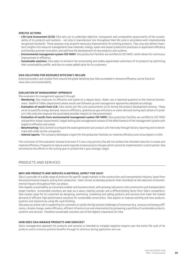#### SPECIFIC ACTIONS

- Life Cycle Assessment (LCA): Sika sets out to undertake objective, transparent and comparative assessments of the sustainability of its products and systems – not only in manufacture, but throughout their life cycle in accordance with internationally recognized standards. These analyses may pinpoint necessary improvements for existing products. They may also deliver important insights into resource management (raw materials, energy, water and waste) production processes or application efficiency and thereby promote innovation and optimize the development of new products and systems.
- Environmental management system ISO 14001: Sika production facilities are certified to ISO 14001, which allows for continuous improvement in efficiency.
- Sustainable solutions: Sika seeks to enhance the outstanding and widely appreciated usefulness of its products by optimizing their sustainability profile, and thus to create added value for its customers.

#### Sika solutions for resource efficiency include

Extensive project case studies from around the globe detailing how Sika succeeded in resource efficiency can be found at www.sika.com/sustainability

#### EVALUATION OF MANAGEMENT APPROACH

Sika evaluates its management approach through:

- Monitoring: Sika measures its effluents and waste on a regular basis. Water use is reported quarterly to the internal Environment, Health & Safety department where results are followed up and management approaches adapted accordingly.
- Evaluation of results from LCA: Sika carries out life-cycle assessments (LCA) during the product development process. These serve to quantify energy demand, resource efficiency, greenhouse gas emissions or water demand during each phase of a product's life cycle and measure the associated possible impacts on the environment.
- Evaluation of results from environmental management system ISO 14001: Sika production facilities are certified to ISO 14001 and perform impact assessments, target setting and management reviews of the effectiveness of the management system with regard to effluents and waste.
- Benchmarking: Sika started to compare the waste generation per product unit internally through factory reporting and to benchmark with other similar companies.
- Internal reports: The company developed a report for the production facilities on material efficiency and consumption in 2014.

The conclusion of the evaluation showed that even if it was a key priority Sika did not achieve the intended reduction in waste and material efficiency. Programs to reduce waste typically involve process changes which cannot be implemented in a short period. Sika will enhance the efforts in the coming year to achieve the 5 year strategic target.

#### Products and services

#### WHY ARE PRODUCTS AND SERVICES A MATERIAL ASPECT FOR SIKA?

Sika is a provider of a wide range of products for specific target markets in the construction and transportation industry. Apart from the environmental impacts arising from production, Sika's strives to develop products that contribute to the reduction of environmental impacts throughout their use phase.

Sika regards sustainability as a business enabler and business driver, with growing relevance in the construction and transportation target markets. Sustainable solutions are seen as a value-creating concept and a differentiating factor from Sika's competitors. Sika creates value for its customers by designing, promoting, marketing and selling products and services that meet the market demand of efficient high performance solutions for sustainable construction. Sika aspires to improve existing and new products, systems and solutions by using life-cycle thinking.

Sika plays an active role in supporting its customers to tackle the big societal challenges of tomorrow (e.g. resource and energy efficiency, climate change, water efficiency, efficient infrastructure and urbanization) by pioneering a portfolio of sustainable products, systems and services. Therefore sustainable solutions are of the highest importance for Sika.

#### HOW DOES SIKA MANAGE PRODUCTS AND SERVICES?

Sika's management approach for products and services is intended to mitigate negative impacts over the entire life cycle of its products and to enhance positive benefits through its solutions during application and use.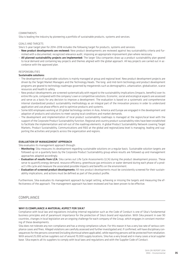#### **COMMITMENTS**

Sika is leading the industry by pioneering a portfolio of sustainable products, systems and services.

#### Goals and targets

Sika's 5-year target plan for 2014–2018 includes the following target for products, systems and services:

- New product developments are reviewed: New product developments are reviewed against key sustainability criteria and furnished with a documented, recognized relevance audit, imposing an appropriate improvement plan where necessary.
- All planned sustainability projects are implemented: The larger Sika companies draw up a product sustainability plan geared to local demand and containing key projects and themes aligned with the global approach. All key projects are carried out in accordance with the approved plan.

#### **RESPONSIBILITIES**

#### Sustainable solutions:

- The development of sustainable solutions is mainly managed at group and regional level. New product development projects are driven by the Target Market Managers and the Technology Heads. The long- and mid-term technology and product development programs are geared to technology roadmaps governed by megatrends such as demographics, urbanization, globalization, scarce resources and health & safety.
- New product developments are screened systematically with regard to the sustainability implications (impacts, benefits) over its entire life cycle, compared with the company's own or competitive solutions. Economic, social and ecological aspects are assessed and serve as a basis for any decision to improve a development. The evaluation is based on a systematic and comprehensive internal standardized product sustainability methodology as an integral part of the innovation process in order to understand application and use phase effects and to optimize products and systems.
- Some 600 employees working at 20 global technology centers in Asia, America and Europe are engaged in the development and adaption of products and solutions to meet varying local conditions and market demands.
- The development and implementation of local product sustainability roadmaps is managed at the region/local level with the support of the Corporate Product Sustainability function. Regional and country product sustainability roles have been established to facilitate the implementation and roll-out of the roadmap elements. A global Product Sustainability Network covering Target Markets, Product Sustainability, Communications and R&D at the global and regional/area level is managing, leading and supporting the activities and projects across the organization and regions.

#### EVALUATION OF MANAGEMENT APPROACH

Sika evaluates its management approach through:

- Monitoring: Sika measures its development regarding sustainable solutions on a regular basis. Sustainable solution targets are followed up on a quarterly basis by the Corporate Product Sustainability group where results are followed up and management approaches adapted accordingly.
- Evaluation of results from LCA: Sika carries out Life Cycle Assessments (LCA) during the product development process. These serve to quantify energy demand, resource efficiency, greenhouse gas emissions or water demand during each phase of a product's life cycle and measure the associated possible impacts and benefits on the environment.
- Evaluation of screened product developments: All new product developments must be consistently screened for their sustainability implications, and actions must be defined as part of the product profile.

Furthermore, Sika evaluates its management approach by target setting, achieving or missing the targets and measuring the effectiveness of the approach. The management approach has been reviewed and has been proven to be effective.

#### Compliance

#### WHY IS COMPLIANCE A MATERIAL ASPECT FOR SIKA?

Compliance with local law and regulations including internal regulation such as the Code of Conduct is one of Sika's fundamental business principles and of paramount importance for the protection of Sika's brand and reputation. With Sika present in over 90 countries, changes in local legislation are an ongoing challenge for each company of the Group, which engages in constant monitoring of these developments.

Sika does not tolerate any non-compliance and has a strong compliance culture. For this reason it has a very low rate of serious compliance cases and fines. Alleged violations are carefully assessed and further investigated and, if confirmed, will have disciplinary consequences for the persons concerned (including dismissal where applicable), while reporting persons will be protected from retaliation. With around 25,000 active suppliers out of around 70,000 supply locations, Sika has a very broad and in many cases a local supplier base. Sika expects all its suppliers to comply with local laws and regulations and with the Supplier Code of Conduct.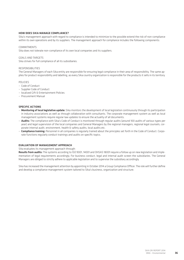#### HOW DOES SIKA MANAGE COMPLIANCE?

Sika's management approach with regard to compliance is intended to minimize to the possible extend the risk of non-compliance within its own operations and by its suppliers. The management approach for compliance includes the following components:

#### **COMMITMENTS**

Sika does not tolerate non-compliance of its own local companies and its suppliers.

#### COALS AND TARCETS

Sika strives for full compliance of all its subsidiaries.

#### RESPONSIBILITIES

The General Managers of each Sika entity are responsible for ensuring legal compliance in their area of responsibility. The same applies for product responsibility and labelling, as every Sika country organization is responsible for the products it sells in its territory.

#### POLICIES

- Code of Conduct
- Supplier Code of Conduct
- localized Gift & Entertainment Policies
- Procurement Manual

#### SPECIFIC ACTIONS

- Monitoring of local legislative update: Sika monitors the development of local legislation continuously through its participation in industry associations as well as through collaboration with consultants. The corporate management system as well as local management systems require regular law updates to ensure the actuality of all documents.
- Audits: The compliance with Sika's Code of Conduct is monitored through regular audits (around 100 audits of various types per year) and legal supervision of the local companies and General Managers by the regional managers, regional legal counsels, corporate internal audit, environment, health & safety audits, local audits etc.
- Compliance training: Personnel in all companies is regularly trained about the principles set forth in the Code of Conduct. Corporate functions regularly conduct trainings and audits on specific topics.

#### EVALUATION OF MANAGEMENT APPROACH

Sika evaluates its management approach through:

Results from audits: The systems according to ISO 9001, 14001 and OHSAS 18001 require a follow up on new legislation and implementation of legal requirements accordingly. For business conduct, legal and internal audit screen the subsidiaries. The General Managers are obliged to strictly adhere to applicable legislation and to supervise the subsidiary accordingly.

Sika has increased the management attention by appointing in October 2014 a Group Compliance Officer. The role will further define and develop a compliance management system tailored to Sika's business, organization and structure.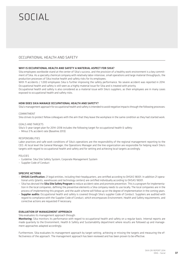### $\overline{S}$ **SOCIAL**

#### OCCUPATIONAL HEALTH AND SAFETY

#### WHY IS OCCUPATIONAL HEALTH AND SAFETY A MATERIAL ASPECT FOR SIKA?

Sika employees worldwide stand at the center of Sika's success, and the provision of a healthy work environment is a key commitment of Sika. As a specialty chemical company with relatively labor-intensive, small operations and large material throughputs, the production processes of Sika involve health and safety risks for its employees.

With 11 accidents / 1,000 employees Sika is further improving the safety performance. No severe accident was reported in 2014. Occupational health and safety is still seen as a highly material issue for Sika and is treated with priority.

Occupational health and safety is also considered as a material issue with Sika's suppliers, as their employees are in many cases exposed to occupational health and safety risks.

#### HOW DOES SIKA MANAGE OCCUPATIONAL HEALTH AND SAFETY?

Sika's management approach for occupational health and safety is intended to avoid negative impacts through the following processes:

#### COMMITMENT

Sika strives to protect fellow colleagues with the aim that they leave the workplace in the same condition as they had started work.

GOALS AND TARGETS

Sika's 5-year target plan for 2014–2018 includes the following target for occupational health & safety:

– Minus 5% accident rate (Baseline 2013)

#### RESPONSIBILITIES

Labor practices and safe work conditions of Sika's operations are the responsibility of the regional management reporting to the CEO. At local level the General Manager, the Operations Manager and the line organization are responsible for helping reach Sika's targets with regard to occupational health and safety and for setting and achieving local targets accordingly.

#### POLICIES

- Guideline: Sika Site Safety System, Corporate Management System
- Supplier Code of Conduct

#### SPECIFIC ACTIONS

- OHSAS Certification: 21 legal entities, including their headquarters, are certified according to OHSAS 18001. In addition 21 operational units (plants, warehouses and technology centers) are certified individually according to OHSAS 18001.
- Sika has devised the Sika Site Safety Program to reduce accident rates and promote prevention. This is a program for implementation in the local companies, defining the preventive elements a Sika company needs to use locally. The local companies are in the process of implementing this program, and the audit scheme will follow up on the degree of implementation in the coming years.
- Supplier audits: Occupational health and safety is covered through Sika's supplier Code of Conduct. Suppliers are audited with regard to compliance with the Supplier Code of Conduct, which encompasses Environment, Health and Safety requirements, and corrective actions are requested if necessary.

#### EVALUATION OF MANAGEMENT APPROACH

Sika evaluates its management approach through:

Monitoring: Sika monitors its performance with regard to occupational health and safety on a regular basis. Internal reports are made quarterly to the Environment, Health & Safety and Sustainability department where results are followed up and management approaches adapted accordingly.

Furthermore, Sika evaluates its management approach by target setting, achieving or missing the targets and measuring the effectiveness of the approach. The management approach has been reviewed and has been proven to be effective.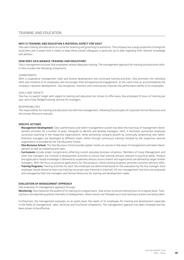#### Training and education

#### WHY IS TRAINING AND FOUCATION A MATERIAL ASPECT FOR SIKA?

Sika sees training and education as crucial for retaining and grooming its workforce. The company has a large proportion of longtime associates and is aware that it needs to keep these valued colleagues in particular up to date regarding their relevant knowledge and abilities.

#### HOW DOES SIKA MANAGE TRAINING AND EDUCATION?

Sika's management ensures that employees receive adequate training. The management approach for training and education within Sika includes the following components:

#### COMMITMENTS

With a cooperative management style and diverse development and continued training activities, Sika promotes the individual skills and initiative of its employees and encourages their entrepreneurial engagement, at the same time as accommodating the company's dynamic development. Sika recognizes, monitors and continuously improves the performance ability of its employees.

#### GOALS AND TARGETS

Sika has no explicit target with regard to training and education but strives to offer every Sika employee 10 hours of training per year, and a fully-fledged training seminar for managers.

#### RESPONSIBILITIES

The responsibility for training and education lies with line management, following the principles of Corporate Human Resources and the Human Resource manuals.

#### SPECIFIC ACTIONS

- Management Development: Sika's performance and talent management system has been the mainstay of management development activities for a number of years. Designed to identify and develop managers' skills, it facilitates systematic employee succession planning in the respective organizations, while promoting company growth by continually pinpointing new talent. Potential managers are developed at different levels, either through continuous training initiated by the respective national organization or provided by the Sika Business School.
- Sika Business School: The Sika Business School provides global, hands-on courses in the areas of management and talent development as well as marketing and sales.
- Curriculums include project assignments reflecting current everyday business situations. Members of Group Management and other line managers are involved in development activities to ensure that training remains relevant to practical needs. Product and application-based knowledge is delivered by academies whose course content and organization are defined by target market managers. With the focus on practical applications for Sika products, these training programs promote customer advisory skills.
- Training Programs: Training activities for each Sika employee are determined based on the evaluation by the line manager. Each employee should attend at least one training course per year (internal or external). All non-management functions are evaluated and managed by their line managers and Human Resources for training and development needs.

#### EVALUATION OF MANAGEMENT APPROACH

Sika evaluates its management approach through:

Monitoring: Sika measures the quality of its training on a regular basis. Sika strives to record training hours on a regular basis. Training hours are reported quarterly internally to headquarters, where results are followed up on and necessary actions are being taken.

Furthermore, the management evaluates on an yearly basis the needs of its employees for training and development especially in the fields of management, sales, technical and functional competence. The management approach has been reviewed and has been proven to be effective.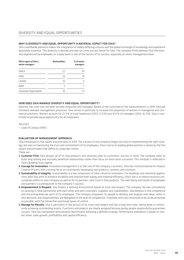#### Why is diversity and equal opportunity a material aspect for Sika?

Sika's worldwide presence makes the integration of widely differing cultures and the global exchange of knowledge and experience absolutely essential. This diversity is desired and seen as a key success factor for Sika. The company firmly believes that the diversity experienced by employees on a daily basis is one of the factors of its success, especially at senior management level.

| Work region of Sika's<br>senior managers | <b>Nationalities</b> | % of senior<br>managers |
|------------------------------------------|----------------------|-------------------------|
| EMEA                                     | 27                   | 39                      |
| <b>APAC</b>                              | 16                   | 19                      |
| LATAM                                    | 10                   | q                       |
| <b>NAM</b>                               | 5                    |                         |
| Corporate Organization                   | 10                   |                         |

#### How does Sika manage diversity and equal opportunity?

Diversity has until now not been actively measured and managed. Based on the outcomes of the measurements in 2014, Sika will introduce relevant management processes. Sika strives in particular to increase the proportion of women in managerial and commercial positions. Women account for 22.3% of total headcount (2013: 21.5%) and 16.4% of managers (2013: 16.2%). Sika is committed to provide equal opportunity for all employees.

POLICIES

– Code of Conduct (PDF)

#### EVALUATION OF MANAGEMENT APPROACH

Sika introduced its five values and principles in 2014. The success of any company hinges not only on implementing the right strategy, but also on harnessing the trust and commitment of its employees. Sika's rise to its leading global position is driven by the five values and principles that define its corporate culture.

- These are:
- 1. Customer First: Sika designs all of its new products and solutions with its customers, success in mind. The company looks to build long-lasting and mutually beneficial relationships rather than focus on short-term successes. This mindset is reflected in Sika's Building Trust tagline.
- 2. Courage for Innovation: Innovation management is at the core of the company's business. Sika has institutionalized its Product Creation Process with a strong focus on consistently developing new products, systems and solutions.
- 3. Sustainability & Integrity: Sustainability is a key component of Sika's drive for innovation. For buildings and industrial applications alike Sika aims to enhance durability and improve both energy and material efficiency. Sika's aim is to reduce resource consumption within its own company as well as for its partners, who trust in Sika products. The well-being and health of employees and partners is a prerequisite to the company's success.
- 4. Empowerment & Respect: Sika fosters a working environment based on trust and respect. The company focuses consistently on working in close partnership with each other and with customers, suppliers and stakeholders. Sika believes in the competence and the entrepreneurial spirit of its employees. The company empowers its people to develop and propose new ideas, which is why decisions and responsibilities are delegated to the level of competence. Corporate units are structured to be as decentralized as possible, with flat hierarchies and broad spans of control.
- 5. Manage for Results: Sika is persistent in the pursuit of its vision and targets and has a long-term view, taking pride in continuously achieving outstanding results. Functions and projects are clearly assigned because giving people responsibility guarantees success. Sika has transparent remuneration benchmarks following a defined strategy. Performance evaluation is based on market share, sales growth, profitability and capital efficiency.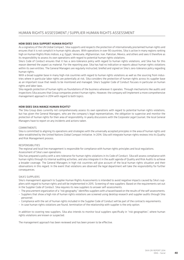#### HOW DOES SIKA SUPPORT HUMAN RIGHTS?

As a signatory of the UN Global Compact, Sika supports and respects the protection of internationally proclaimed human rights and ensures that it is not complicit in human rights abuses. With operations in over 90 countries, Sika is active in many regions ranking high on Human Rights Risks Indices, e.g. Egypt, Venezuela, Afghanistan, Iran, Pakistan, Mexico, and others and sees it therefore as its responsibility to assess its own operations with regard to potential human rights violations.

Sika's Code of Conduct ensures that it has a zero-tolerance policy with regard to human rights violations, and Sika has for this reason deemed the aspect as material. For the reporting year, Sika has had no indication or reports about human rights violations within its own entities. The General Managers are regularly instructed, briefed and signed on Sika's zero-tolerance policy regarding human rights.

With a broad supplier base in many high-risk countries with regard to human rights violations as well as the sourcing from industries where in particular labor rights are potentially at risk, Sika considers the protection of human rights across its supplier base as an important issue that needs to be monitored and managed. Sika's Supplier Code of Conduct focuses in particular on human rights and labor laws.

Sika regards protection of human rights as foundations of the business wherever it operates. Through mechanisms like audits and inspections Sika assures that Group companies protect human rights. However, the company will implement a more comprehensive management approach in 2014 with regard to both topics.

#### HOW DOES SIKA MANGE HUMAN RIGHTS?

The Sika Group does currently not comprehensively assess its own operations with regard to potential human rights violations, but has given the General Managers, who are the company's legal representatives, the obligation to supervise and monitor the protection of human rights for their area of responsibility. In yearly discussions with the Corporate Legal Counsel, the local General Managers have to report on any incidents and actions taken.

#### **COMMITMENTS**

Sika is committed to aligning its operations and strategies with the universally accepted principles in the area of human rights and labor established by the United Nations Global Compact Initiative. In 2014, Sika will integrate human rights reviews into its Quality and Risk Management process.

#### RESPONSIBILITIES

The regional and local line management is responsible for compliance with human rights principles and local regulations. Assessment of Sika's own operations:

Sika has prepared a policy with a zero tolerance for human rights violations in its Code of Conduct. Sika will assess compliance with human rights through its internal auditing activities, and also integrate it in the audit agenda of Quality and Risk Audits to achieve a broader coverage. The General Managers in high risk countries will give account of the local human rights situation and their observations in this regard. In the event that violations are observed the legal department will take the responsibility for further consequences.

#### Sika's suppliers

Sika's management approach to Supplier Human Rights Assessments is intended to avoid negative impacts caused by Sika's suppliers with regard to human rights and will be implemented in 2015. Screening of new suppliers: Based on the requirements set out in the Supplier Code of Conduct. Sika requires its new suppliers to answer self-assessments.

- The procurement organization of a "risk geography" identifies suppliers with a hazard based on the results of the self-assessments.
- Suppliers that show a high risk of human rights violations are screened using desktop research and supplier audits through Sika personnel.
- Compliance with the set of human rights included in the Supplier Code of Conduct will be part of the contracts requirements.
- In case human rights violations are found, termination of the relationship with supplier is the only option.

In addition to covering new suppliers, Sika also intends to monitor local suppliers specifically in "risk geographies", where human rights violations are known or suspected.

The management approach has been reviewed and has been proven to be effective.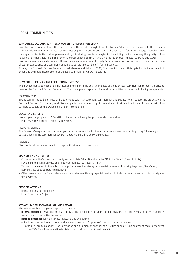#### LOCAL COMMUNITIES

#### WHY ARE LOCAL COMMUNITIES A MATERIAL ASPECT FOR SIKA?

Sika staff works in more than 90 countries around the world. Through its local activities, Sika contributes directly to the economic and social development of the local communities by providing secure and safe workplaces, transferring knowledge through ongoing training activities to its local employees and by introducing new technologies in the building sector improving the quality of local housing and infrastructure. Sika's economic impact on local communities is multiplied through its local sourcing structures. Sika builds trust and creates value with customers, communities and society. Sika believes that immersion into the social networks

of countries, societies and communities will also generate great benefit for its business.

Through the Romuald Burkard Foundation, which was established in 2005, Sika is contributing with targeted project sponsorship to enhancing the social development of the local communities where it operates.

#### HOW DOES SIKA MANAGE LOCAL COMMUNITIES?

The management approach of Sika is intended to enhance the positive impacts Sika has on local communities through the engagement of the Romuald Burkard Foundation. The management approach for local communities includes the following components:

#### **COMMITMENTS**

Sika is committed to build trust and create value with its customers, communities and society. When supporting projects via the Romuald Burkard Foundation, local Sika companies are required to put forward specific aid applications and together with local partners to supervise the projects on site until completion.

#### GOALS AND TARGETS

Sika's 5-year target plan for 2014–2018 includes the following target for local communities: – Plus 5% in the number of projects (Baseline 2013)

#### RESPONSIBILITIES

The General Manager of the country organization is responsible for the activities and spend in order to portray Sika as a good corporate citizen in the communities where it operates, including the wider society.

POLICIES

Sika has developed a sponsorship concept with criteria for sponsorship.

#### Sponsoring activities

- Communicate Sika's brand personality and articulate Sika's Brand promise "Building Trust" (Brand Affinity).
- Have a link to Sika's business and its target markets (Business Affinity).
- Transmit core values to the public: courage for innovation, strength to persist, pleasure of working together (Sika Values).
- Demonstrate good corporate citizenship.
- Offer involvement for Sika stakeholders, for customers through special services, but also for employees, e.g. via participation (Involvement).

#### SPECIFIC ACTIONS

- Romuald Burkard Foundation
- Local Community Projects

#### EVALUATION OF MANAGEMENT APPROACH

Sika evaluates its management approach through:

- Internal audits: Internal auditors visit up to 20 Sika subsidiaries per year. On that occasion, the effectiveness of activities directed toward local communities is checked.
- Defined processes for monitoring, reviewing and evaluating:
	- Regions: Information on current and planned projects to Corporate Communications twice a year.
	- Corporate Communications: Documentation and summary of sponsoring activities annually (2nd quarter of each calendar year to the CEO). This documentation is distributed to all countries ("best cases").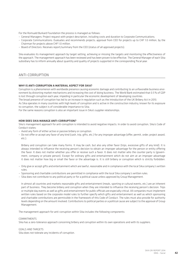For the Romuald Burkard Foundation the process is managed as follows:

- General Managers: Project request with project description, including costs and duration to Corporate Communications.
- Corporate Communications: Evaluates and recommends projects; approval from CEO for projects up to CHF 1.0 million, by the Chairman for projects above CHF 1.0 million.
- Board of Directors: Receives report/summary from the CEO (status of all approved projects).

Sika evaluates its management approach by target setting, achieving or missing the targets and monitoring the effectiveness of the approach. The management approach has been reviewed and has been proven to be effective. The General Manager of each Sika subsidiary has to inform annually about quantity and quality of projects supported in the corresponding fiscal year.

#### ANTI-CORRUPTION

#### WHY IS ANTI-CORRUPTION A MATERIAL ASPECT FOR SIKA?

Corruption is a phenomenon with worldwide presence causing economic damage and contributing to an unfavorable business environment by distorting market mechanisms and increasing the cost of doing business. The World Bank estimated that 0.5% of GDP is lost through corruption each year, impeding in particular the economic development of developing countries.

The broad presence of corruption has led to an increase in regulation such as the introduction of the UK Bribery Act in 2013. As Sika operates in many countries with high levels of corruption and is active in the construction industry, known for its exposure to corruption, the subject is of considerable importance to Sika.

For the same reasons corruption is also an important issue in Sika's supplier relationships.

#### HOW DOES SIKA MANAGE ANTI-CORRUPTION?

Sika's management approach for anti-corruption is intended to avoid negative impacts. In order to avoid corruption, Sika's Code of Conduct states:

- Avoid any form of either active or passive bribery or corruption.
- Do not offer or accept any favor of any kind (cash, trip, gifts, etc.) for any improper advantage (offer, permit, order, project award, etc.).

Bribery and corruption can take many forms. It may be cash, but also any other favor (trips, excessive gifts of any kind). It is always intended to influence the receiving person's decision to obtain an improper advantage for the person or entity offering the favor. It does not matter whether you offer or receive such a favor. It does not matter who the counter party is (government, company or private person). Except for ordinary gifts and entertainment which do not aim at an improper advantage it does not matter how big or small the favor or the advantage is. It is still bribery or corruption which is strictly forbidden.

- Only give or accept gifts and entertainment which are lawful, reasonable and in compliance with the local Sika company's written rules.
- Sponsoring and charitable contributions are permitted in compliance with the local Sika company's written rules.
- Sika does not contribute to any political party or for a political cause unless approved by Group Management.

In almost all countries and markets reasonable gifts and entertainment (meals, sporting or cultural events, etc.) are an inherent part of business. They become bribery and corruption when they are intended to influence the receiving person's decision. Trips or multiple day events as well as gifts and entertainment for public officials are especially critical. All companies must implement written rules based on the corporate model rules to further specify which gifts and entertainment as well as which sponsoring and charitable contributions are permissible in the framework of this Code of Conduct. The rules must also provide for authority levels depending on the amount involved. Contributions to political parties or a political cause are subject to the approval of Group Management.

The management approach for anti-corruption within Sika includes the following components:

#### **COMMITMENTS**

Sika has a zero-tolerance approach concerning bribery and corruption within its own operations and with its suppliers.

#### GOALS AND TARGETS

Sika does not tolerate any incidents of corruption.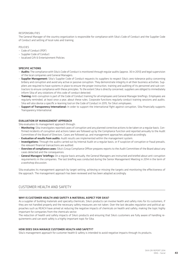#### RESPONSIBILITIES

The General Manager of the country organization is responsible for compliance with Sika's Code of Conduct and the Supplier Code of Conduct and setting of local rules and training.

#### POLICIES

- Code of Conduct (PDF)
- Supplier Code of Conduct
- localized Gift & Entertainment Policies

#### SPECIFIC ACTIONS

- Audits: The compliance with Sika's Code of Conduct is monitored through regular audits (approx. 30 in 2013) and legal supervision of the local companies and General Managers.
- Supplier Management: Sika's Supplier Code of Conduct requests its suppliers to respect Sika's zero-tolerance policy concerning bribery and corruption and avoid any active or passive corruption. They demonstrate integrity in all their business activities. Suppliers are required to have systems in place to ensure the proper instruction, training and auditing of its personnel and sub-contractors to ensure compliance with these principles. To the extent Sika is directly concerned, suppliers are obliged to immediately inform Sika of any violations of this code of conduct detected.
- Training: Anti-corruption is part of the Code of Conduct training for all employees and General Manager briefings. Employees are regularly reminded, at least once a year, about these rules. Corporate functions regularly conduct training sessions and audits. Sika will also devise a specific e-learning tool on the Code of Conduct in 2015, for Sika's employees.
- Support of Transparency International: In order to support the international fight against corruption, Sika financially supports Transparency International.

#### EVALUATION OF MANAGEMENT APPROACH

Sika evaluates its management approach through:

- Monitoring: Sika investigates reported cases of corruption and any planned corrective actions to be taken on a regular basis. Confirmed incidents of corruption and actions taken are followed up by the Compliance function and reported annually to the Audit Committee of the Board of Directors. Cases are followed up, and management approaches adapted accordingly.
- Evaluation of results from audits: Audit results are implemented within the management system.
- Investigations: Through the audits carried out by Internal Audit on a regular basis, or if suspicion of corruption or fraud prevails, the relevant financial transactions are audited.
- Overview of compliance cases: Sika's Group Compliance Officer prepares reports to the Audit Committee of the Board about any cases detected and the consequences.
- General Managers' briefings: On a regular basis annually, the General Managers are instructed and briefed about anti-corruption requirements in the companies. The last briefing was conducted during the Senior Management Meeting in 2014 in the term of a workshop discussion.

Sika evaluates its management approach by target setting, achieving or missing the targets and monitoring the effectiveness of the approach. The management approach has been reviewed and has been adapted accordingly.

#### Customer Health and Safety

#### WHY IS CUSTOMER HEALTH AND SAFETY A MATERIAL ASPECT FOR SIKA?

As a supplier of building materials and specialty chemicals, Sika's products can involve health and safety risks for its customers, if they are not handled properly and the necessary safety measures are not taken. Over the last decades regulation and political approaches such as REACH have aimed at reducing the negative impacts of chemicals on health and safety, making the topic highly important for companies from the chemicals sector.

The reduction of health and safety impacts of Sika's products and ensuring that Sika's customers are fully aware of handling requirements and can work safely is a highly important topic for Sika.

#### HOW DOES SIKA MANAGE CUSTOMER HEALTH AND SAFETY?

Sika's management approach for customer health & safety is intended to avoid negative impacts through its products.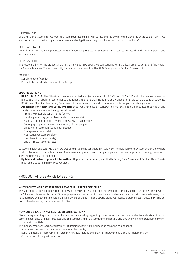#### **COMMITMENTS**

Sika's Mission Statement: "We want to assume our responsibility for safety and the environment along the entire value chain." "We are committed to considering all requirements and obligations arising for substances used in our products."

#### GOALS AND TARGETS

Annual target for chemical products: 100% of chemical products in assessment or assessed for health and safety impacts, and improvements.

#### RESPONSIBILITIES

The responsibility for the products sold in the individual Sika country organization is with the local organizations, and finally with the General Manager. The responsibility for product data regarding Health & Safety is with Product Stewardship.

#### POLICIES

- Supplier Code of Conduct
- Product Stewardship Guidelines of the Group

#### SPECIFIC ACTIONS

- REACH, GHS / CLP: The Sika Group has implemented a project approach for REACH and GHS / CLP and other relevant chemical registration and labelling requirements throughout its entire organization. Group Management has set up a central corporate REACH and Chemical Regulatory Department in order to coordinate all corporate activities regarding this legislation.
- Assessment of Health and Safety impacts: Legal requirements on construction material suppliers requests that health and safety impacts are ensured along the value chain:
	- $-$  From raw materials supply to the factory
	- Handling in factory (work place safety of own people)
	- Manufacturing of products (work place safety of own people)
	- Packaging of products (work place safety of own people)
	- Shipping to customers (dangerous goods)
	- Storage (customer safety)
	- Application (customer safety)
	- Use phase (customer safety)
	- End of life (customer safety)

Customer health and safety is therefore crucial for Sika and is considered in R&D work (formulation work, system design etc.) where product characteristics are determined. Customers and product users can participate in frequent application training sessions to learn the proper use of the products.

– Update and review of product information: All product information, specifically Safety Data Sheets and Product Data Sheets must be up to date and reviewed regularly.

#### Product and Service Labeling

#### WHY IS CUSTOMER SATISFACTION A MATERIAL ASPECT FOR SIKA?

The Sika brand stands for innovation, quality and service, and is a solid bond between the company and its customers. The power of the Sika brand, however, is that all Sika employees are committed to meeting and delivering the expectations of customers, business partners and other stakeholders. Sika is aware of the fact that a strong brand represents a promise kept. Customer satisfaction is therefore a key material aspect for Sika.

#### HOW DOES SIKA MANAGE CUSTOMER SATISFACTION?

Sika's management approach for product and service labeling regarding customer satisfaction is intended to understand the customer's experience of Sika's products and the company itself as something enhancing and positive while understanding any improvement potentials.

The management approach for customer satisfaction within Sika includes the following components:

- Analysis of the results of customer surveys in the country
- Deriving potential improvements, further interviews, details and analysis, improvement plan and implementation
- Confirmation of the positive impact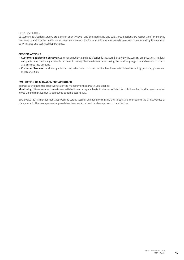#### RESPONSIBILITIES

Customer satisfaction surveys are done on country level, and the marketing and sales organizations are responsible for ensuring overview. In addition the quality departments are responsible for inbound claims from customers and for coordinating the responses with sales and technical departments.

#### SPECIFIC ACTIONS

- Customer Satisfaction Surveys: Customer experience and satisfaction is measured locally by the country organization. The local companies use the locally available partners to survey their customer base, taking the local language, trade channels, customs and cultures into account.
- Customer Services: In all companies a comprehensive customer service has been established including personal, phone and online channels.

#### EVALUATION OF MANAGEMENT APPROACH

In order to evaluate the effectiveness of the management approach Sika applies:

Monitoring: Sika measures its customer satisfaction on a regular basis. Customer satisfaction is followed up locally, results are followed up and management approaches adapted accordingly.

Sika evaluates its management approach by target setting, achieving or missing the targets and monitoring the effectiveness of the approach. The management approach has been reviewed and has been proven to be effective.